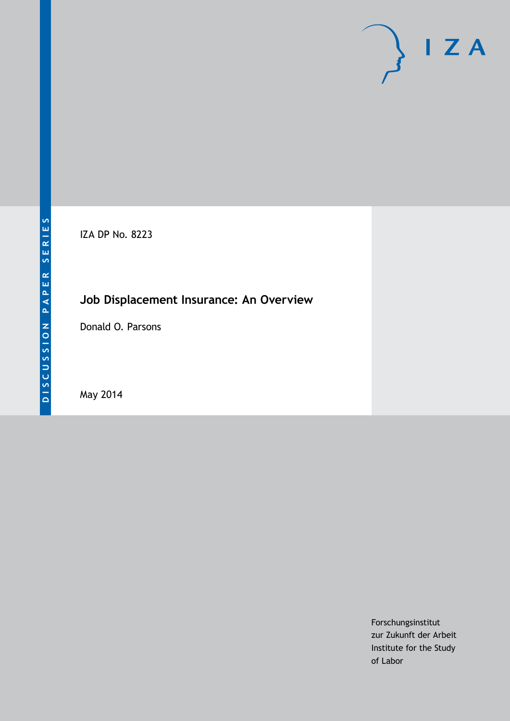# $I Z A$

IZA DP No. 8223

# **Job Displacement Insurance: An Overview**

Donald O. Parsons

May 2014

Forschungsinstitut zur Zukunft der Arbeit Institute for the Study of Labor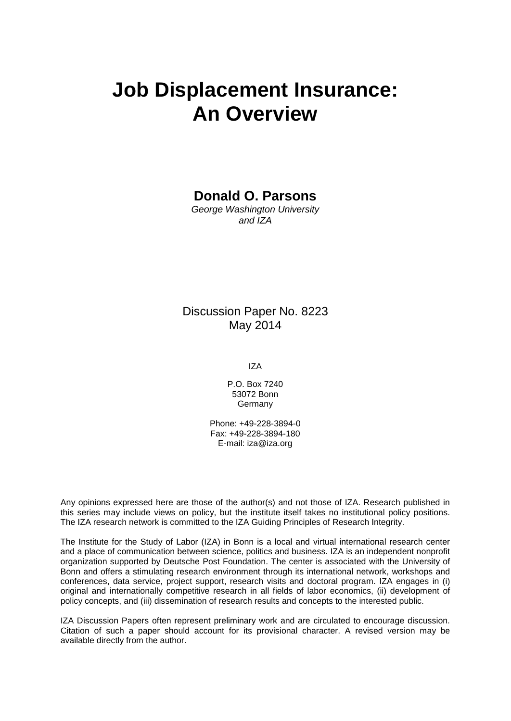# **Job Displacement Insurance: An Overview**

**Donald O. Parsons**

*George Washington University and IZA*

# Discussion Paper No. 8223 May 2014

IZA

P.O. Box 7240 53072 Bonn **Germany** 

Phone: +49-228-3894-0 Fax: +49-228-3894-180 E-mail: [iza@iza.org](mailto:iza@iza.org)

Any opinions expressed here are those of the author(s) and not those of IZA. Research published in this series may include views on policy, but the institute itself takes no institutional policy positions. The IZA research network is committed to the IZA Guiding Principles of Research Integrity.

The Institute for the Study of Labor (IZA) in Bonn is a local and virtual international research center and a place of communication between science, politics and business. IZA is an independent nonprofit organization supported by Deutsche Post Foundation. The center is associated with the University of Bonn and offers a stimulating research environment through its international network, workshops and conferences, data service, project support, research visits and doctoral program. IZA engages in (i) original and internationally competitive research in all fields of labor economics, (ii) development of policy concepts, and (iii) dissemination of research results and concepts to the interested public.

IZA Discussion Papers often represent preliminary work and are circulated to encourage discussion. Citation of such a paper should account for its provisional character. A revised version may be available directly from the author.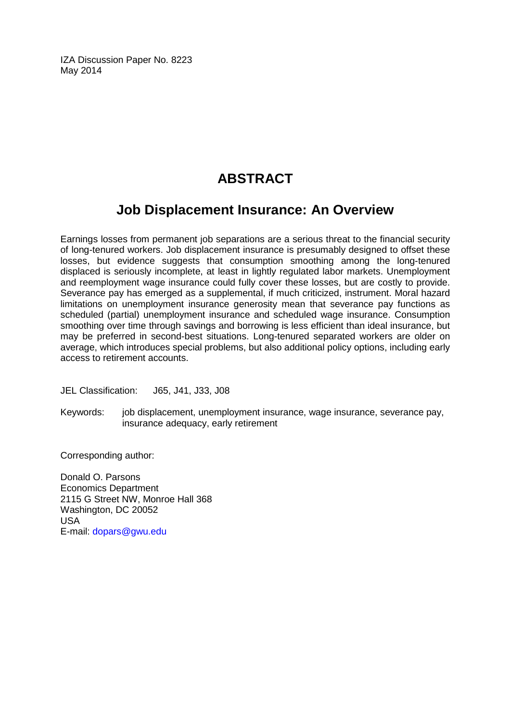IZA Discussion Paper No. 8223 May 2014

# **ABSTRACT**

# **Job Displacement Insurance: An Overview**

Earnings losses from permanent job separations are a serious threat to the financial security of long-tenured workers. Job displacement insurance is presumably designed to offset these losses, but evidence suggests that consumption smoothing among the long-tenured displaced is seriously incomplete, at least in lightly regulated labor markets. Unemployment and reemployment wage insurance could fully cover these losses, but are costly to provide. Severance pay has emerged as a supplemental, if much criticized, instrument. Moral hazard limitations on unemployment insurance generosity mean that severance pay functions as scheduled (partial) unemployment insurance and scheduled wage insurance. Consumption smoothing over time through savings and borrowing is less efficient than ideal insurance, but may be preferred in second-best situations. Long-tenured separated workers are older on average, which introduces special problems, but also additional policy options, including early access to retirement accounts.

JEL Classification: J65, J41, J33, J08

Keywords: job displacement, unemployment insurance, wage insurance, severance pay, insurance adequacy, early retirement

Corresponding author:

Donald O. Parsons Economics Department 2115 G Street NW, Monroe Hall 368 Washington, DC 20052 USA E-mail: [dopars@gwu.edu](mailto:dopars@gwu.edu)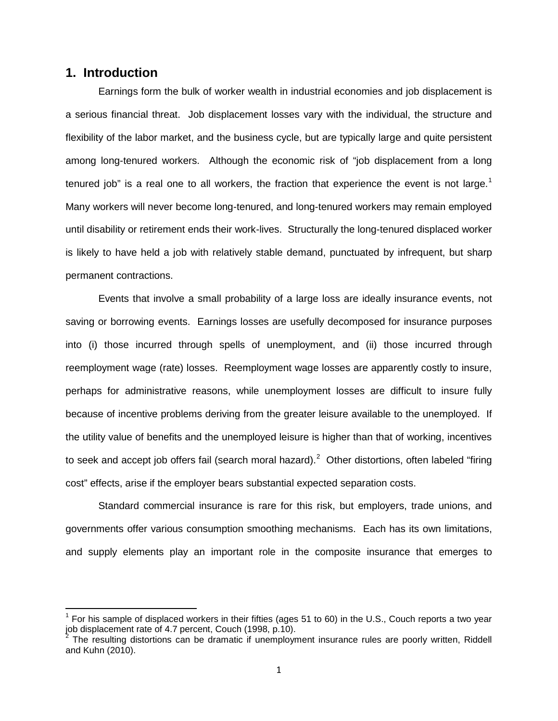# **1. Introduction**

Earnings form the bulk of worker wealth in industrial economies and job displacement is a serious financial threat. Job displacement losses vary with the individual, the structure and flexibility of the labor market, and the business cycle, but are typically large and quite persistent among long-tenured workers. Although the economic risk of "job displacement from a long tenured job" is a real one to all workers, the fraction that experience the event is not large.<sup>[1](#page-3-0)</sup> Many workers will never become long-tenured, and long-tenured workers may remain employed until disability or retirement ends their work-lives. Structurally the long-tenured displaced worker is likely to have held a job with relatively stable demand, punctuated by infrequent, but sharp permanent contractions.

Events that involve a small probability of a large loss are ideally insurance events, not saving or borrowing events. Earnings losses are usefully decomposed for insurance purposes into (i) those incurred through spells of unemployment, and (ii) those incurred through reemployment wage (rate) losses. Reemployment wage losses are apparently costly to insure, perhaps for administrative reasons, while unemployment losses are difficult to insure fully because of incentive problems deriving from the greater leisure available to the unemployed. If the utility value of benefits and the unemployed leisure is higher than that of working, incentives to seek and accept job offers fail (search moral hazard).<sup>[2](#page-3-1)</sup> Other distortions, often labeled "firing cost" effects, arise if the employer bears substantial expected separation costs.

Standard commercial insurance is rare for this risk, but employers, trade unions, and governments offer various consumption smoothing mechanisms. Each has its own limitations, and supply elements play an important role in the composite insurance that emerges to

<span id="page-3-0"></span> $1$  For his sample of displaced workers in their fifties (ages 51 to 60) in the U.S., Couch reports a two year job displacement rate of 4.7 percent, Couch (1998, p.10).

<span id="page-3-1"></span><sup>&</sup>lt;sup>2</sup> The resulting distortions can be dramatic if unemployment insurance rules are poorly written, Riddell and Kuhn (2010).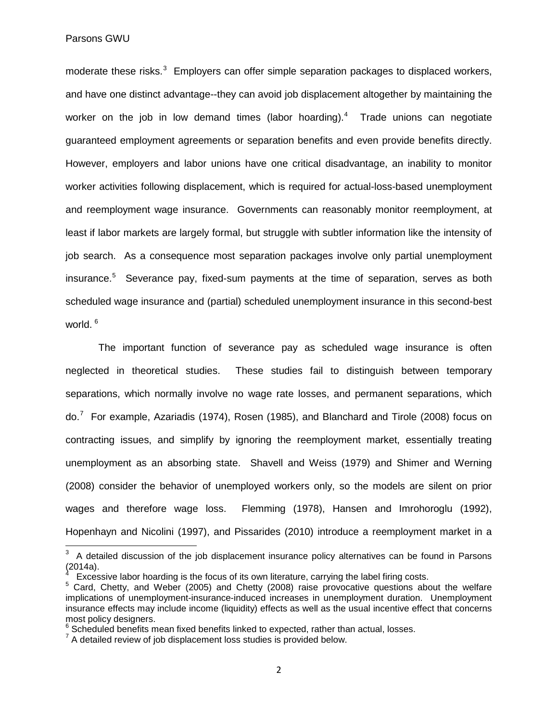#### Parsons GWU

moderate these risks.<sup>[3](#page-4-0)</sup> Employers can offer simple separation packages to displaced workers, and have one distinct advantage--they can avoid job displacement altogether by maintaining the worker on the job in low demand times (labor hoarding).<sup>[4](#page-4-1)</sup> Trade unions can negotiate guaranteed employment agreements or separation benefits and even provide benefits directly. However, employers and labor unions have one critical disadvantage, an inability to monitor worker activities following displacement, which is required for actual-loss-based unemployment and reemployment wage insurance. Governments can reasonably monitor reemployment, at least if labor markets are largely formal, but struggle with subtler information like the intensity of job search. As a consequence most separation packages involve only partial unemployment insurance.<sup>[5](#page-4-2)</sup> Severance pay, fixed-sum payments at the time of separation, serves as both scheduled wage insurance and (partial) scheduled unemployment insurance in this second-best world.<sup>[6](#page-4-3)</sup>

The important function of severance pay as scheduled wage insurance is often neglected in theoretical studies. These studies fail to distinguish between temporary separations, which normally involve no wage rate losses, and permanent separations, which do.<sup>[7](#page-4-4)</sup> For example, Azariadis (1974), Rosen (1985), and Blanchard and Tirole (2008) focus on contracting issues, and simplify by ignoring the reemployment market, essentially treating unemployment as an absorbing state. Shavell and Weiss (1979) and Shimer and Werning (2008) consider the behavior of unemployed workers only, so the models are silent on prior wages and therefore wage loss. Flemming (1978), Hansen and Imrohoroglu (1992), Hopenhayn and Nicolini (1997), and Pissarides (2010) introduce a reemployment market in a

<span id="page-4-0"></span>**EXECUTE:**<br><sup>3</sup> A detailed discussion of the job displacement insurance policy alternatives can be found in Parsons (2014a). 4

<span id="page-4-2"></span><span id="page-4-1"></span><sup>&</sup>lt;sup>4</sup> Excessive labor hoarding is the focus of its own literature, carrying the label firing costs.<br><sup>5</sup> Card, Chetty, and Weber (2005) and Chetty (2008) raise provocative questions about the welfare implications of unemployment-insurance-induced increases in unemployment duration. Unemployment insurance effects may include income (liquidity) effects as well as the usual incentive effect that concerns most policy designers.

<span id="page-4-3"></span> $6$  Scheduled benefits mean fixed benefits linked to expected, rather than actual, losses.

<span id="page-4-4"></span> $7$  A detailed review of job displacement loss studies is provided below.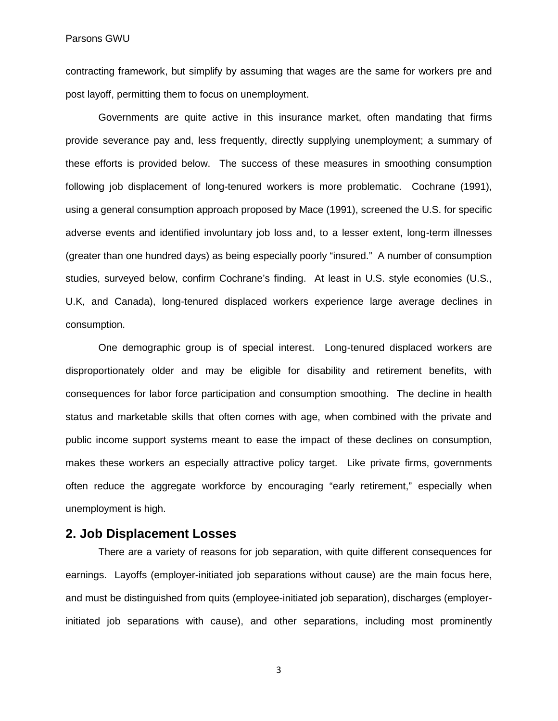contracting framework, but simplify by assuming that wages are the same for workers pre and post layoff, permitting them to focus on unemployment.

Governments are quite active in this insurance market, often mandating that firms provide severance pay and, less frequently, directly supplying unemployment; a summary of these efforts is provided below. The success of these measures in smoothing consumption following job displacement of long-tenured workers is more problematic. Cochrane (1991), using a general consumption approach proposed by Mace (1991), screened the U.S. for specific adverse events and identified involuntary job loss and, to a lesser extent, long-term illnesses (greater than one hundred days) as being especially poorly "insured." A number of consumption studies, surveyed below, confirm Cochrane's finding. At least in U.S. style economies (U.S., U.K, and Canada), long-tenured displaced workers experience large average declines in consumption.

One demographic group is of special interest. Long-tenured displaced workers are disproportionately older and may be eligible for disability and retirement benefits, with consequences for labor force participation and consumption smoothing. The decline in health status and marketable skills that often comes with age, when combined with the private and public income support systems meant to ease the impact of these declines on consumption, makes these workers an especially attractive policy target. Like private firms, governments often reduce the aggregate workforce by encouraging "early retirement," especially when unemployment is high.

#### **2. Job Displacement Losses**

There are a variety of reasons for job separation, with quite different consequences for earnings. Layoffs (employer-initiated job separations without cause) are the main focus here, and must be distinguished from quits (employee-initiated job separation), discharges (employerinitiated job separations with cause), and other separations, including most prominently

3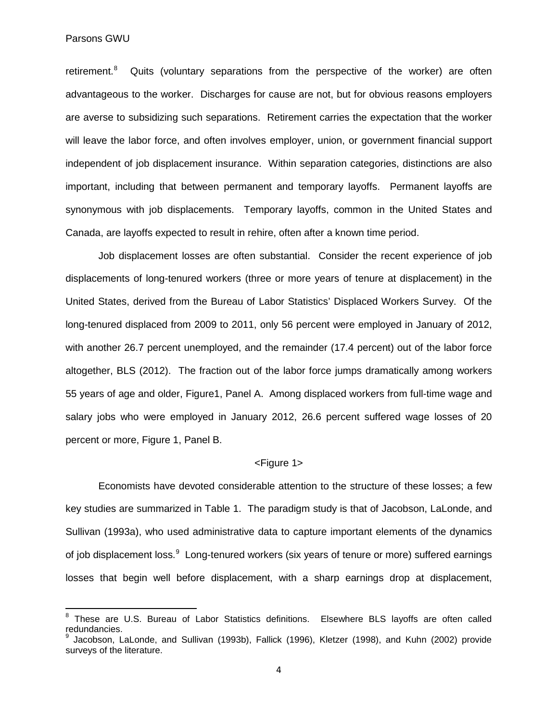retirement.<sup>[8](#page-6-0)</sup> Quits (voluntary separations from the perspective of the worker) are often advantageous to the worker. Discharges for cause are not, but for obvious reasons employers are averse to subsidizing such separations. Retirement carries the expectation that the worker will leave the labor force, and often involves employer, union, or government financial support independent of job displacement insurance. Within separation categories, distinctions are also important, including that between permanent and temporary layoffs. Permanent layoffs are synonymous with job displacements. Temporary layoffs, common in the United States and Canada, are layoffs expected to result in rehire, often after a known time period.

Job displacement losses are often substantial. Consider the recent experience of job displacements of long-tenured workers (three or more years of tenure at displacement) in the United States, derived from the Bureau of Labor Statistics' Displaced Workers Survey. Of the long-tenured displaced from 2009 to 2011, only 56 percent were employed in January of 2012, with another 26.7 percent unemployed, and the remainder (17.4 percent) out of the labor force altogether, BLS (2012). The fraction out of the labor force jumps dramatically among workers 55 years of age and older, Figure1, Panel A. Among displaced workers from full-time wage and salary jobs who were employed in January 2012, 26.6 percent suffered wage losses of 20 percent or more, Figure 1, Panel B.

#### <Figure 1>

Economists have devoted considerable attention to the structure of these losses; a few key studies are summarized in Table 1. The paradigm study is that of Jacobson, LaLonde, and Sullivan (1993a), who used administrative data to capture important elements of the dynamics of job displacement loss.<sup>[9](#page-6-1)</sup> Long-tenured workers (six years of tenure or more) suffered earnings losses that begin well before displacement, with a sharp earnings drop at displacement,

<span id="page-6-0"></span><sup>8</sup> These are U.S. Bureau of Labor Statistics definitions. Elsewhere BLS layoffs are often called redundancies.

<span id="page-6-1"></span><sup>&</sup>lt;sup>9</sup> Jacobson, LaLonde, and Sullivan (1993b), Fallick (1996), Kletzer (1998), and Kuhn (2002) provide surveys of the literature.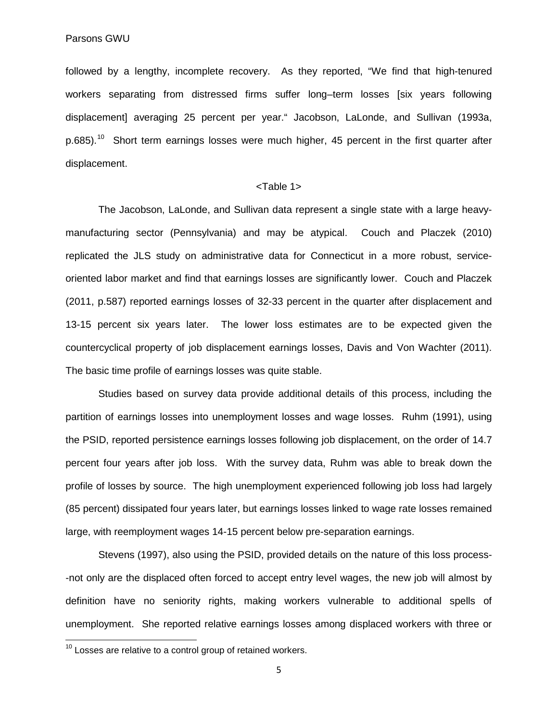followed by a lengthy, incomplete recovery. As they reported, "We find that high-tenured workers separating from distressed firms suffer long–term losses [six years following displacement] averaging 25 percent per year." Jacobson, LaLonde, and Sullivan (1993a,  $p.685$ ).<sup>[10](#page-7-0)</sup> Short term earnings losses were much higher, 45 percent in the first quarter after displacement.

#### <Table 1>

The Jacobson, LaLonde, and Sullivan data represent a single state with a large heavymanufacturing sector (Pennsylvania) and may be atypical. Couch and Placzek (2010) replicated the JLS study on administrative data for Connecticut in a more robust, serviceoriented labor market and find that earnings losses are significantly lower. Couch and Placzek (2011, p.587) reported earnings losses of 32-33 percent in the quarter after displacement and 13-15 percent six years later. The lower loss estimates are to be expected given the countercyclical property of job displacement earnings losses, Davis and Von Wachter (2011). The basic time profile of earnings losses was quite stable.

Studies based on survey data provide additional details of this process, including the partition of earnings losses into unemployment losses and wage losses. Ruhm (1991), using the PSID, reported persistence earnings losses following job displacement, on the order of 14.7 percent four years after job loss. With the survey data, Ruhm was able to break down the profile of losses by source. The high unemployment experienced following job loss had largely (85 percent) dissipated four years later, but earnings losses linked to wage rate losses remained large, with reemployment wages 14-15 percent below pre-separation earnings.

Stevens (1997), also using the PSID, provided details on the nature of this loss process- -not only are the displaced often forced to accept entry level wages, the new job will almost by definition have no seniority rights, making workers vulnerable to additional spells of unemployment. She reported relative earnings losses among displaced workers with three or

<span id="page-7-0"></span> $10$  Losses are relative to a control group of retained workers.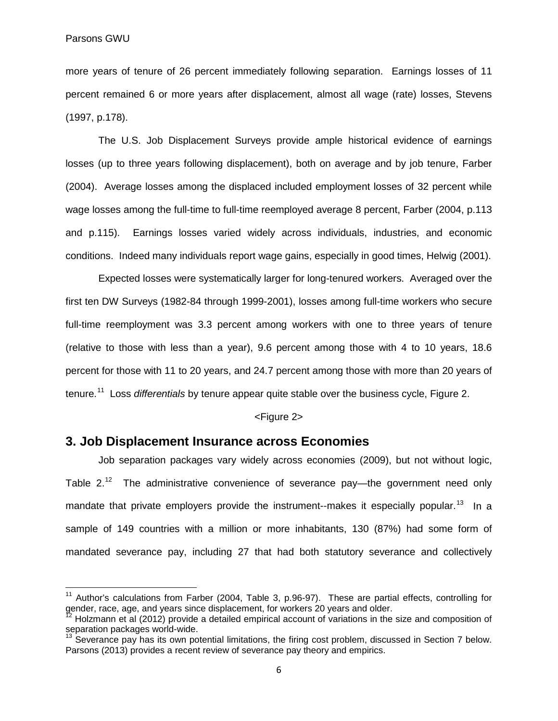more years of tenure of 26 percent immediately following separation. Earnings losses of 11 percent remained 6 or more years after displacement, almost all wage (rate) losses, Stevens (1997, p.178).

The U.S. Job Displacement Surveys provide ample historical evidence of earnings losses (up to three years following displacement), both on average and by job tenure, Farber (2004). Average losses among the displaced included employment losses of 32 percent while wage losses among the full-time to full-time reemployed average 8 percent, Farber (2004, p.113 and p.115). Earnings losses varied widely across individuals, industries, and economic conditions. Indeed many individuals report wage gains, especially in good times, Helwig (2001).

Expected losses were systematically larger for long-tenured workers. Averaged over the first ten DW Surveys (1982-84 through 1999-2001), losses among full-time workers who secure full-time reemployment was 3.3 percent among workers with one to three years of tenure (relative to those with less than a year), 9.6 percent among those with 4 to 10 years, 18.6 percent for those with 11 to 20 years, and 24.7 percent among those with more than 20 years of tenure.[11](#page-8-0) Loss *differentials* by tenure appear quite stable over the business cycle, Figure 2.

#### <Figure 2>

# **3. Job Displacement Insurance across Economies**

Job separation packages vary widely across economies (2009), but not without logic, Table 2.<sup>[12](#page-8-1)</sup> The administrative convenience of severance pay—the government need only mandate that private employers provide the instrument--makes it especially popular.<sup>13</sup> In a sample of 149 countries with a million or more inhabitants, 130 (87%) had some form of mandated severance pay, including 27 that had both statutory severance and collectively

<span id="page-8-0"></span> $11$  Author's calculations from Farber (2004, Table 3, p.96-97). These are partial effects, controlling for gender, race, age, and years since displacement, for workers 20 years and older.

<span id="page-8-1"></span>Holzmann et al (2012) provide a detailed empirical account of variations in the size and composition of separation packages world-wide.

<span id="page-8-2"></span> $13$  Severance pay has its own potential limitations, the firing cost problem, discussed in Section 7 below. Parsons (2013) provides a recent review of severance pay theory and empirics.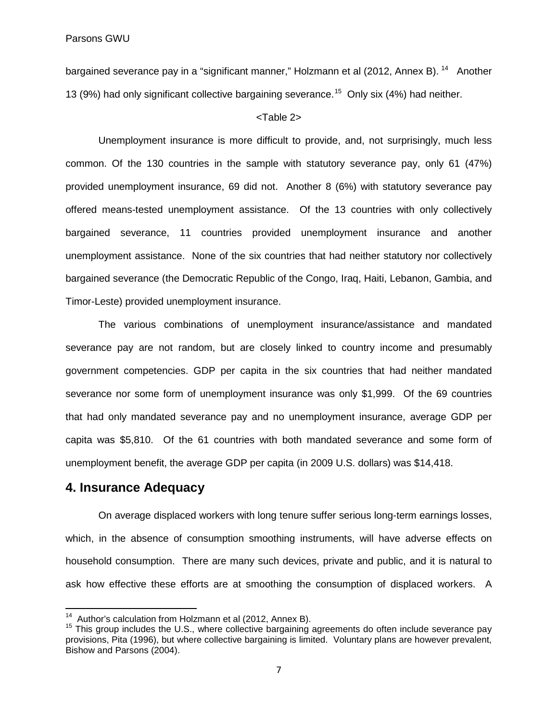bargained severance pay in a "significant manner," Holzmann et al (2012, Annex B).<sup>[14](#page-9-0)</sup> Another 13 (9%) had only significant collective bargaining severance.<sup>[15](#page-9-1)</sup> Only six (4%) had neither.

#### <Table 2>

Unemployment insurance is more difficult to provide, and, not surprisingly, much less common. Of the 130 countries in the sample with statutory severance pay, only 61 (47%) provided unemployment insurance, 69 did not. Another 8 (6%) with statutory severance pay offered means-tested unemployment assistance. Of the 13 countries with only collectively bargained severance, 11 countries provided unemployment insurance and another unemployment assistance. None of the six countries that had neither statutory nor collectively bargained severance (the Democratic Republic of the Congo, Iraq, Haiti, Lebanon, Gambia, and Timor-Leste) provided unemployment insurance.

The various combinations of unemployment insurance/assistance and mandated severance pay are not random, but are closely linked to country income and presumably government competencies. GDP per capita in the six countries that had neither mandated severance nor some form of unemployment insurance was only \$1,999. Of the 69 countries that had only mandated severance pay and no unemployment insurance, average GDP per capita was \$5,810. Of the 61 countries with both mandated severance and some form of unemployment benefit, the average GDP per capita (in 2009 U.S. dollars) was \$14,418.

# **4. Insurance Adequacy**

On average displaced workers with long tenure suffer serious long-term earnings losses, which, in the absence of consumption smoothing instruments, will have adverse effects on household consumption. There are many such devices, private and public, and it is natural to ask how effective these efforts are at smoothing the consumption of displaced workers. A

<span id="page-9-1"></span><span id="page-9-0"></span><sup>&</sup>lt;sup>14</sup> Author's calculation from Holzmann et al (2012, Annex B).<br><sup>15</sup> This group includes the U.S., where collective bargaining agreements do often include severance pay provisions, Pita (1996), but where collective bargaining is limited. Voluntary plans are however prevalent, Bishow and Parsons (2004).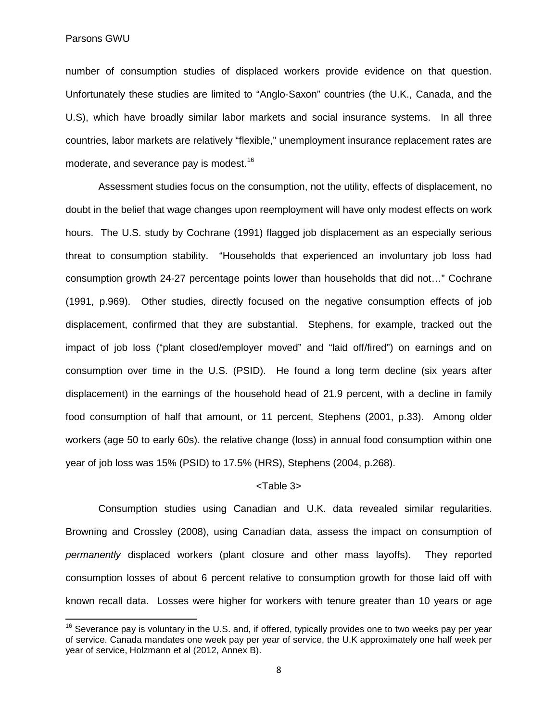Parsons GWU

number of consumption studies of displaced workers provide evidence on that question. Unfortunately these studies are limited to "Anglo-Saxon" countries (the U.K., Canada, and the U.S), which have broadly similar labor markets and social insurance systems. In all three countries, labor markets are relatively "flexible," unemployment insurance replacement rates are moderate, and severance pay is modest.<sup>[16](#page-10-0)</sup>

Assessment studies focus on the consumption, not the utility, effects of displacement, no doubt in the belief that wage changes upon reemployment will have only modest effects on work hours. The U.S. study by Cochrane (1991) flagged job displacement as an especially serious threat to consumption stability. "Households that experienced an involuntary job loss had consumption growth 24-27 percentage points lower than households that did not…" Cochrane (1991, p.969). Other studies, directly focused on the negative consumption effects of job displacement, confirmed that they are substantial. Stephens, for example, tracked out the impact of job loss ("plant closed/employer moved" and "laid off/fired") on earnings and on consumption over time in the U.S. (PSID). He found a long term decline (six years after displacement) in the earnings of the household head of 21.9 percent, with a decline in family food consumption of half that amount, or 11 percent, Stephens (2001, p.33). Among older workers (age 50 to early 60s). the relative change (loss) in annual food consumption within one year of job loss was 15% (PSID) to 17.5% (HRS), Stephens (2004, p.268).

#### <Table 3>

Consumption studies using Canadian and U.K. data revealed similar regularities. Browning and Crossley (2008), using Canadian data, assess the impact on consumption of *permanently* displaced workers (plant closure and other mass layoffs). They reported consumption losses of about 6 percent relative to consumption growth for those laid off with known recall data. Losses were higher for workers with tenure greater than 10 years or age

<span id="page-10-0"></span> $16$  Severance pay is voluntary in the U.S. and, if offered, typically provides one to two weeks pay per year of service. Canada mandates one week pay per year of service, the U.K approximately one half week per year of service, Holzmann et al (2012, Annex B).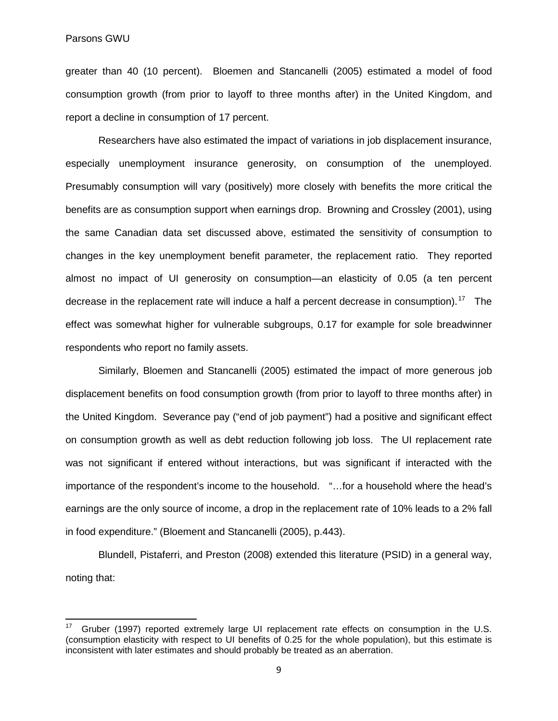greater than 40 (10 percent). Bloemen and Stancanelli (2005) estimated a model of food consumption growth (from prior to layoff to three months after) in the United Kingdom, and report a decline in consumption of 17 percent.

Researchers have also estimated the impact of variations in job displacement insurance, especially unemployment insurance generosity, on consumption of the unemployed. Presumably consumption will vary (positively) more closely with benefits the more critical the benefits are as consumption support when earnings drop. Browning and Crossley (2001), using the same Canadian data set discussed above, estimated the sensitivity of consumption to changes in the key unemployment benefit parameter, the replacement ratio. They reported almost no impact of UI generosity on consumption—an elasticity of 0.05 (a ten percent decrease in the replacement rate will induce a half a percent decrease in consumption).<sup>[17](#page-11-0)</sup> The effect was somewhat higher for vulnerable subgroups, 0.17 for example for sole breadwinner respondents who report no family assets.

Similarly, Bloemen and Stancanelli (2005) estimated the impact of more generous job displacement benefits on food consumption growth (from prior to layoff to three months after) in the United Kingdom. Severance pay ("end of job payment") had a positive and significant effect on consumption growth as well as debt reduction following job loss. The UI replacement rate was not significant if entered without interactions, but was significant if interacted with the importance of the respondent's income to the household. "…for a household where the head's earnings are the only source of income, a drop in the replacement rate of 10% leads to a 2% fall in food expenditure." (Bloement and Stancanelli (2005), p.443).

Blundell, Pistaferri, and Preston (2008) extended this literature (PSID) in a general way, noting that:

<span id="page-11-0"></span> $17$  Gruber (1997) reported extremely large UI replacement rate effects on consumption in the U.S. (consumption elasticity with respect to UI benefits of 0.25 for the whole population), but this estimate is inconsistent with later estimates and should probably be treated as an aberration.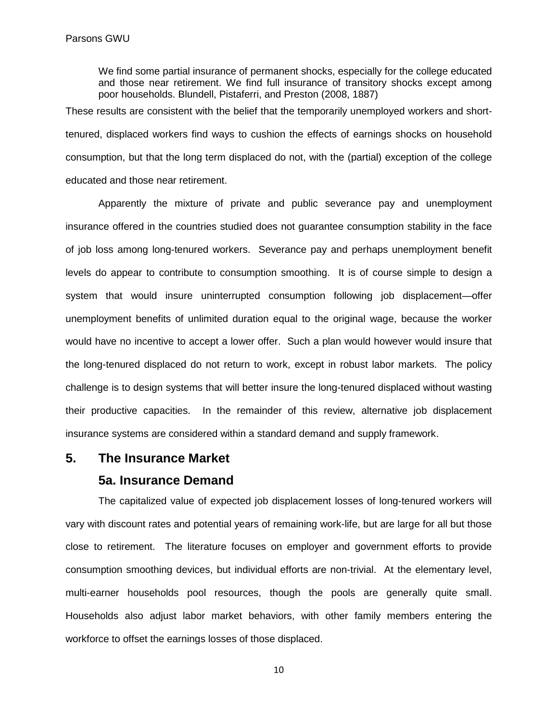We find some partial insurance of permanent shocks, especially for the college educated and those near retirement. We find full insurance of transitory shocks except among poor households. Blundell, Pistaferri, and Preston (2008, 1887)

These results are consistent with the belief that the temporarily unemployed workers and shorttenured, displaced workers find ways to cushion the effects of earnings shocks on household consumption, but that the long term displaced do not, with the (partial) exception of the college educated and those near retirement.

Apparently the mixture of private and public severance pay and unemployment insurance offered in the countries studied does not guarantee consumption stability in the face of job loss among long-tenured workers. Severance pay and perhaps unemployment benefit levels do appear to contribute to consumption smoothing. It is of course simple to design a system that would insure uninterrupted consumption following job displacement—offer unemployment benefits of unlimited duration equal to the original wage, because the worker would have no incentive to accept a lower offer. Such a plan would however would insure that the long-tenured displaced do not return to work, except in robust labor markets. The policy challenge is to design systems that will better insure the long-tenured displaced without wasting their productive capacities. In the remainder of this review, alternative job displacement insurance systems are considered within a standard demand and supply framework.

# **5. The Insurance Market**

#### **5a. Insurance Demand**

The capitalized value of expected job displacement losses of long-tenured workers will vary with discount rates and potential years of remaining work-life, but are large for all but those close to retirement. The literature focuses on employer and government efforts to provide consumption smoothing devices, but individual efforts are non-trivial. At the elementary level, multi-earner households pool resources, though the pools are generally quite small. Households also adjust labor market behaviors, with other family members entering the workforce to offset the earnings losses of those displaced.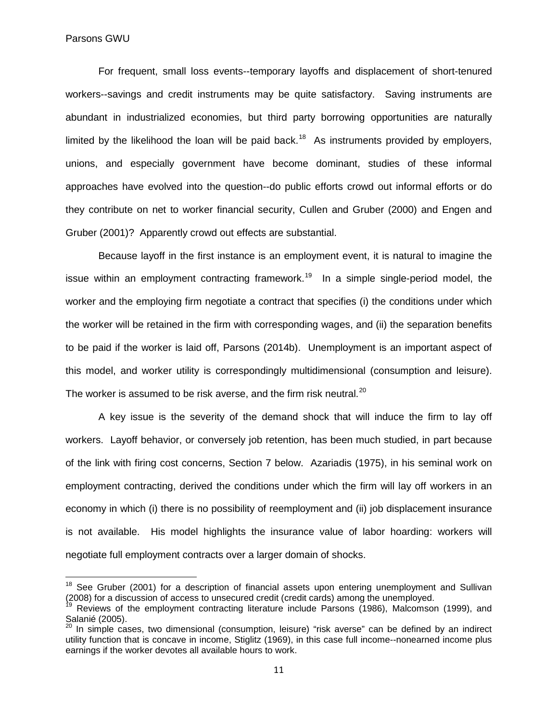For frequent, small loss events--temporary layoffs and displacement of short-tenured workers--savings and credit instruments may be quite satisfactory. Saving instruments are abundant in industrialized economies, but third party borrowing opportunities are naturally limited by the likelihood the loan will be paid back.<sup>18</sup> As instruments provided by employers, unions, and especially government have become dominant, studies of these informal approaches have evolved into the question--do public efforts crowd out informal efforts or do they contribute on net to worker financial security, Cullen and Gruber (2000) and Engen and Gruber (2001)? Apparently crowd out effects are substantial.

Because layoff in the first instance is an employment event, it is natural to imagine the issue within an employment contracting framework.<sup>[19](#page-13-1)</sup> In a simple single-period model, the worker and the employing firm negotiate a contract that specifies (i) the conditions under which the worker will be retained in the firm with corresponding wages, and (ii) the separation benefits to be paid if the worker is laid off, Parsons (2014b). Unemployment is an important aspect of this model, and worker utility is correspondingly multidimensional (consumption and leisure). The worker is assumed to be risk averse, and the firm risk neutral.<sup>20</sup>

A key issue is the severity of the demand shock that will induce the firm to lay off workers. Layoff behavior, or conversely job retention, has been much studied, in part because of the link with firing cost concerns, Section 7 below. Azariadis (1975), in his seminal work on employment contracting, derived the conditions under which the firm will lay off workers in an economy in which (i) there is no possibility of reemployment and (ii) job displacement insurance is not available. His model highlights the insurance value of labor hoarding: workers will negotiate full employment contracts over a larger domain of shocks.

<span id="page-13-0"></span><sup>&</sup>lt;sup>18</sup> See Gruber (2001) for a description of financial assets upon entering unemployment and Sullivan<br>(2008) for a discussion of access to unsecured credit (credit cards) among the unemployed.

<span id="page-13-1"></span>Reviews of the employment contracting literature include Parsons (1986), Malcomson (1999), and Salanié (2005).

<span id="page-13-2"></span><sup>&</sup>lt;sup>20</sup> In simple cases, two dimensional (consumption, leisure) "risk averse" can be defined by an indirect utility function that is concave in income, Stiglitz (1969), in this case full income--nonearned income plus earnings if the worker devotes all available hours to work.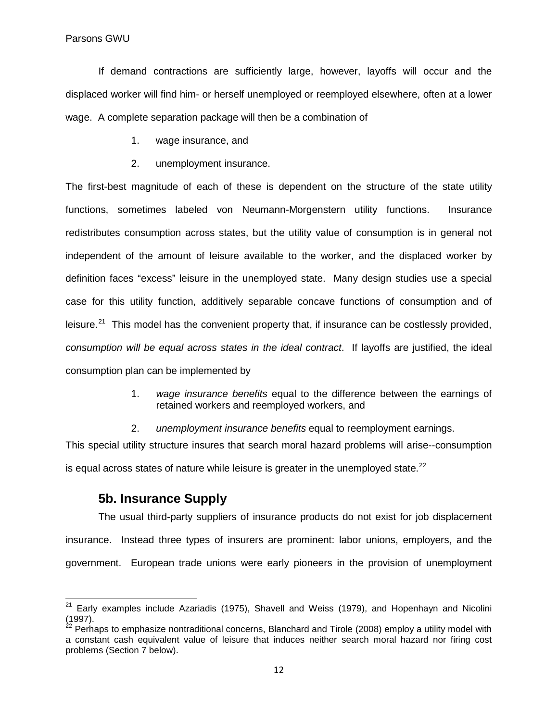Parsons GWU

If demand contractions are sufficiently large, however, layoffs will occur and the displaced worker will find him- or herself unemployed or reemployed elsewhere, often at a lower wage. A complete separation package will then be a combination of

- 1. wage insurance, and
- 2. unemployment insurance.

The first-best magnitude of each of these is dependent on the structure of the state utility functions, sometimes labeled von Neumann-Morgenstern utility functions. Insurance redistributes consumption across states, but the utility value of consumption is in general not independent of the amount of leisure available to the worker, and the displaced worker by definition faces "excess" leisure in the unemployed state. Many design studies use a special case for this utility function, additively separable concave functions of consumption and of leisure.<sup>21</sup> This model has the convenient property that, if insurance can be costlessly provided, *consumption will be equal across states in the ideal contract*. If layoffs are justified, the ideal consumption plan can be implemented by

- 1. *wage insurance benefits* equal to the difference between the earnings of retained workers and reemployed workers, and
- 2. *unemployment insurance benefits* equal to reemployment earnings.

This special utility structure insures that search moral hazard problems will arise--consumption is equal across states of nature while leisure is greater in the unemployed state. $^{22}$  $^{22}$  $^{22}$ 

# **5b. Insurance Supply**

The usual third-party suppliers of insurance products do not exist for job displacement insurance. Instead three types of insurers are prominent: labor unions, employers, and the government. European trade unions were early pioneers in the provision of unemployment

<span id="page-14-0"></span> $21$  Early examples include Azariadis (1975), Shavell and Weiss (1979), and Hopenhayn and Nicolini (1997).

<span id="page-14-1"></span> $^{22}$  Perhaps to emphasize nontraditional concerns, Blanchard and Tirole (2008) employ a utility model with a constant cash equivalent value of leisure that induces neither search moral hazard nor firing cost problems (Section 7 below).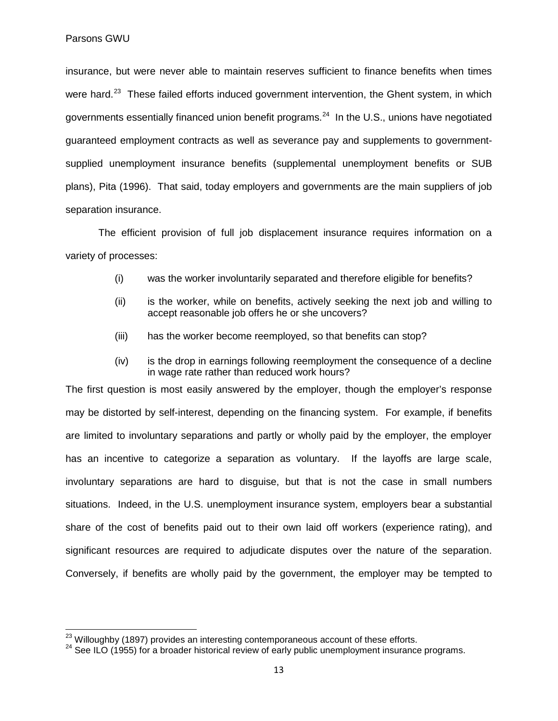insurance, but were never able to maintain reserves sufficient to finance benefits when times were hard.<sup>23</sup> These failed efforts induced government intervention, the Ghent system, in which governments essentially financed union benefit programs.<sup>24</sup> In the U.S., unions have negotiated guaranteed employment contracts as well as severance pay and supplements to governmentsupplied unemployment insurance benefits (supplemental unemployment benefits or SUB plans), Pita (1996). That said, today employers and governments are the main suppliers of job separation insurance.

The efficient provision of full job displacement insurance requires information on a variety of processes:

- (i) was the worker involuntarily separated and therefore eligible for benefits?
- (ii) is the worker, while on benefits, actively seeking the next job and willing to accept reasonable job offers he or she uncovers?
- (iii) has the worker become reemployed, so that benefits can stop?
- (iv) is the drop in earnings following reemployment the consequence of a decline in wage rate rather than reduced work hours?

The first question is most easily answered by the employer, though the employer's response may be distorted by self-interest, depending on the financing system. For example, if benefits are limited to involuntary separations and partly or wholly paid by the employer, the employer has an incentive to categorize a separation as voluntary. If the layoffs are large scale, involuntary separations are hard to disguise, but that is not the case in small numbers situations. Indeed, in the U.S. unemployment insurance system, employers bear a substantial share of the cost of benefits paid out to their own laid off workers (experience rating), and significant resources are required to adjudicate disputes over the nature of the separation. Conversely, if benefits are wholly paid by the government, the employer may be tempted to

<span id="page-15-1"></span><span id="page-15-0"></span><sup>&</sup>lt;sup>23</sup> Willoughby (1897) provides an interesting contemporaneous account of these efforts.<br><sup>24</sup> See ILO (1955) for a broader historical review of early public unemployment insurance programs.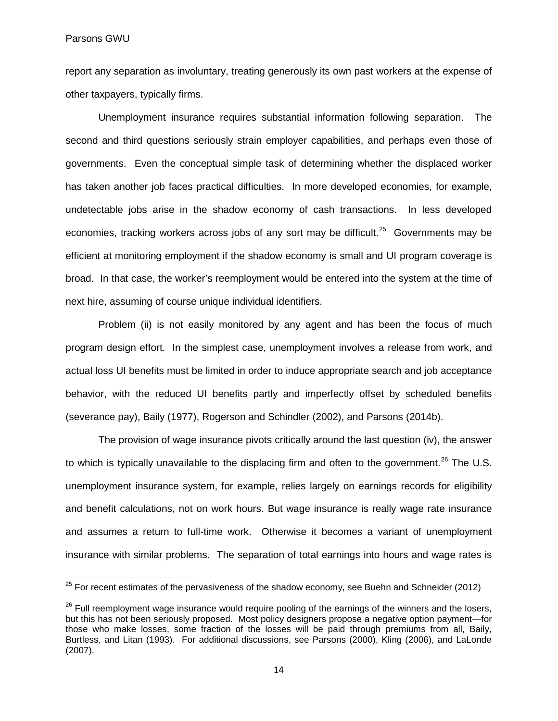Parsons GWU

report any separation as involuntary, treating generously its own past workers at the expense of other taxpayers, typically firms.

Unemployment insurance requires substantial information following separation. The second and third questions seriously strain employer capabilities, and perhaps even those of governments. Even the conceptual simple task of determining whether the displaced worker has taken another job faces practical difficulties. In more developed economies, for example, undetectable jobs arise in the shadow economy of cash transactions. In less developed economies, tracking workers across jobs of any sort may be difficult.<sup>25</sup> Governments may be efficient at monitoring employment if the shadow economy is small and UI program coverage is broad. In that case, the worker's reemployment would be entered into the system at the time of next hire, assuming of course unique individual identifiers.

Problem (ii) is not easily monitored by any agent and has been the focus of much program design effort. In the simplest case, unemployment involves a release from work, and actual loss UI benefits must be limited in order to induce appropriate search and job acceptance behavior, with the reduced UI benefits partly and imperfectly offset by scheduled benefits (severance pay), Baily (1977), Rogerson and Schindler (2002), and Parsons (2014b).

The provision of wage insurance pivots critically around the last question (iv), the answer to which is typically unavailable to the displacing firm and often to the government.<sup>[26](#page-16-1)</sup> The U.S. unemployment insurance system, for example, relies largely on earnings records for eligibility and benefit calculations, not on work hours. But wage insurance is really wage rate insurance and assumes a return to full-time work. Otherwise it becomes a variant of unemployment insurance with similar problems. The separation of total earnings into hours and wage rates is

<span id="page-16-0"></span> $25$  For recent estimates of the pervasiveness of the shadow economy, see Buehn and Schneider (2012)

<span id="page-16-1"></span><sup>&</sup>lt;sup>26</sup> Full reemployment wage insurance would require pooling of the earnings of the winners and the losers, but this has not been seriously proposed. Most policy designers propose a negative option payment—for those who make losses, some fraction of the losses will be paid through premiums from all, Baily, Burtless, and Litan (1993). For additional discussions, see Parsons (2000), Kling (2006), and LaLonde (2007).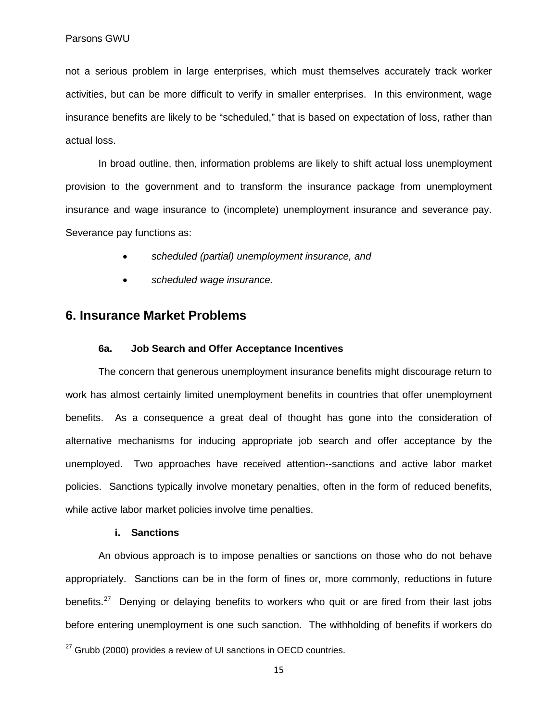not a serious problem in large enterprises, which must themselves accurately track worker activities, but can be more difficult to verify in smaller enterprises. In this environment, wage insurance benefits are likely to be "scheduled," that is based on expectation of loss, rather than actual loss.

In broad outline, then, information problems are likely to shift actual loss unemployment provision to the government and to transform the insurance package from unemployment insurance and wage insurance to (incomplete) unemployment insurance and severance pay. Severance pay functions as:

- *scheduled (partial) unemployment insurance, and*
- *scheduled wage insurance.*

## **6. Insurance Market Problems**

#### **6a. Job Search and Offer Acceptance Incentives**

The concern that generous unemployment insurance benefits might discourage return to work has almost certainly limited unemployment benefits in countries that offer unemployment benefits. As a consequence a great deal of thought has gone into the consideration of alternative mechanisms for inducing appropriate job search and offer acceptance by the unemployed. Two approaches have received attention--sanctions and active labor market policies. Sanctions typically involve monetary penalties, often in the form of reduced benefits, while active labor market policies involve time penalties.

#### **i. Sanctions**

An obvious approach is to impose penalties or sanctions on those who do not behave appropriately. Sanctions can be in the form of fines or, more commonly, reductions in future benefits.<sup>27</sup> Denying or delaying benefits to workers who quit or are fired from their last jobs before entering unemployment is one such sanction. The withholding of benefits if workers do

<span id="page-17-0"></span> $27$  Grubb (2000) provides a review of UI sanctions in OECD countries.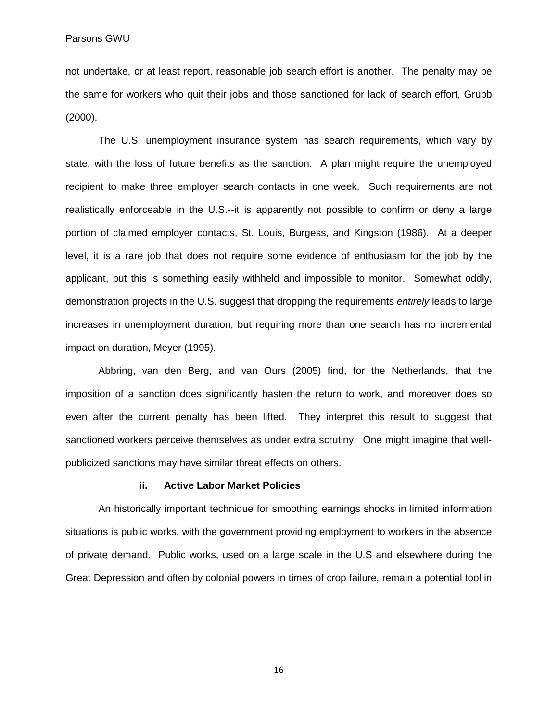not undertake, or at least report, reasonable job search effort is another. The penalty may be the same for workers who quit their jobs and those sanctioned for lack of search effort, Grubb (2000).

The U.S. unemployment insurance system has search requirements, which vary by state, with the loss of future benefits as the sanction. A plan might require the unemployed recipient to make three employer search contacts in one week. Such requirements are not realistically enforceable in the U.S.--it is apparently not possible to confirm or deny a large portion of claimed employer contacts, St. Louis, Burgess, and Kingston (1986). At a deeper level, it is a rare job that does not require some evidence of enthusiasm for the job by the applicant, but this is something easily withheld and impossible to monitor. Somewhat oddly, demonstration projects in the U.S. suggest that dropping the requirements *entirely* leads to large increases in unemployment duration, but requiring more than one search has no incremental impact on duration, Meyer (1995).

Abbring, van den Berg, and van Ours (2005) find, for the Netherlands, that the imposition of a sanction does significantly hasten the return to work, and moreover does so even after the current penalty has been lifted. They interpret this result to suggest that sanctioned workers perceive themselves as under extra scrutiny. One might imagine that wellpublicized sanctions may have similar threat effects on others.

#### **ii. Active Labor Market Policies**

An historically important technique for smoothing earnings shocks in limited information situations is public works, with the government providing employment to workers in the absence of private demand. Public works, used on a large scale in the U.S and elsewhere during the Great Depression and often by colonial powers in times of crop failure, remain a potential tool in

16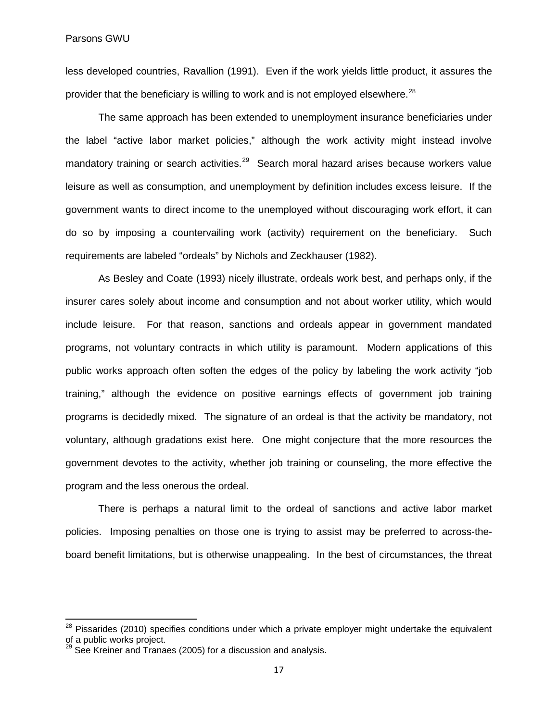less developed countries, Ravallion (1991). Even if the work yields little product, it assures the provider that the beneficiary is willing to work and is not employed elsewhere.<sup>[28](#page-19-0)</sup>

The same approach has been extended to unemployment insurance beneficiaries under the label "active labor market policies," although the work activity might instead involve mandatory training or search activities.<sup>29</sup> Search moral hazard arises because workers value leisure as well as consumption, and unemployment by definition includes excess leisure. If the government wants to direct income to the unemployed without discouraging work effort, it can do so by imposing a countervailing work (activity) requirement on the beneficiary. Such requirements are labeled "ordeals" by Nichols and Zeckhauser (1982).

As Besley and Coate (1993) nicely illustrate, ordeals work best, and perhaps only, if the insurer cares solely about income and consumption and not about worker utility, which would include leisure. For that reason, sanctions and ordeals appear in government mandated programs, not voluntary contracts in which utility is paramount. Modern applications of this public works approach often soften the edges of the policy by labeling the work activity "job training," although the evidence on positive earnings effects of government job training programs is decidedly mixed. The signature of an ordeal is that the activity be mandatory, not voluntary, although gradations exist here. One might conjecture that the more resources the government devotes to the activity, whether job training or counseling, the more effective the program and the less onerous the ordeal.

There is perhaps a natural limit to the ordeal of sanctions and active labor market policies. Imposing penalties on those one is trying to assist may be preferred to across-theboard benefit limitations, but is otherwise unappealing. In the best of circumstances, the threat

<span id="page-19-0"></span> $28$  Pissarides (2010) specifies conditions under which a private employer might undertake the equivalent of a public works project.

<span id="page-19-1"></span>See Kreiner and Tranaes (2005) for a discussion and analysis.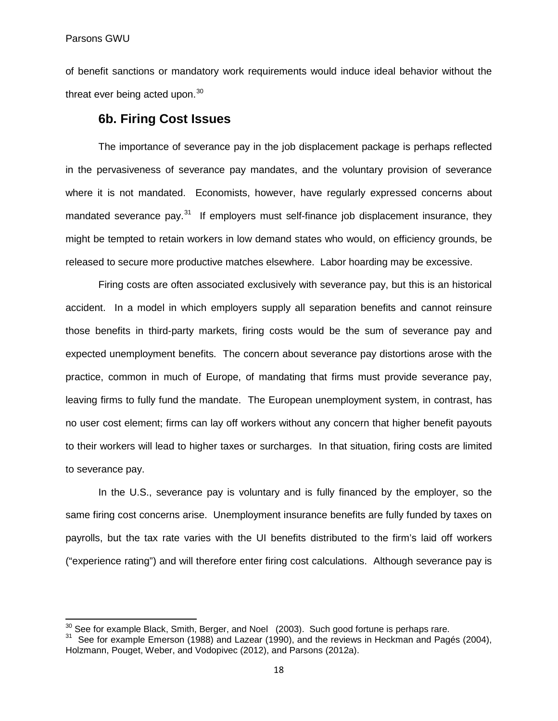of benefit sanctions or mandatory work requirements would induce ideal behavior without the threat ever being acted upon. $30<sup>30</sup>$  $30<sup>30</sup>$ 

# **6b. Firing Cost Issues**

The importance of severance pay in the job displacement package is perhaps reflected in the pervasiveness of severance pay mandates, and the voluntary provision of severance where it is not mandated. Economists, however, have regularly expressed concerns about mandated severance pay.<sup>[31](#page-20-1)</sup> If employers must self-finance job displacement insurance, they might be tempted to retain workers in low demand states who would, on efficiency grounds, be released to secure more productive matches elsewhere. Labor hoarding may be excessive.

Firing costs are often associated exclusively with severance pay, but this is an historical accident. In a model in which employers supply all separation benefits and cannot reinsure those benefits in third-party markets, firing costs would be the sum of severance pay and expected unemployment benefits. The concern about severance pay distortions arose with the practice, common in much of Europe, of mandating that firms must provide severance pay, leaving firms to fully fund the mandate. The European unemployment system, in contrast, has no user cost element; firms can lay off workers without any concern that higher benefit payouts to their workers will lead to higher taxes or surcharges. In that situation, firing costs are limited to severance pay.

In the U.S., severance pay is voluntary and is fully financed by the employer, so the same firing cost concerns arise. Unemployment insurance benefits are fully funded by taxes on payrolls, but the tax rate varies with the UI benefits distributed to the firm's laid off workers ("experience rating") and will therefore enter firing cost calculations. Although severance pay is

<span id="page-20-1"></span><span id="page-20-0"></span><sup>&</sup>lt;sup>30</sup> See for example Black, Smith, Berger, and Noel (2003). Such good fortune is perhaps rare.<br><sup>31</sup> See for example Emerson (1988) and Lazear (1990), and the reviews in Heckman and Pagés (2004), Holzmann, Pouget, Weber, and Vodopivec (2012), and Parsons (2012a).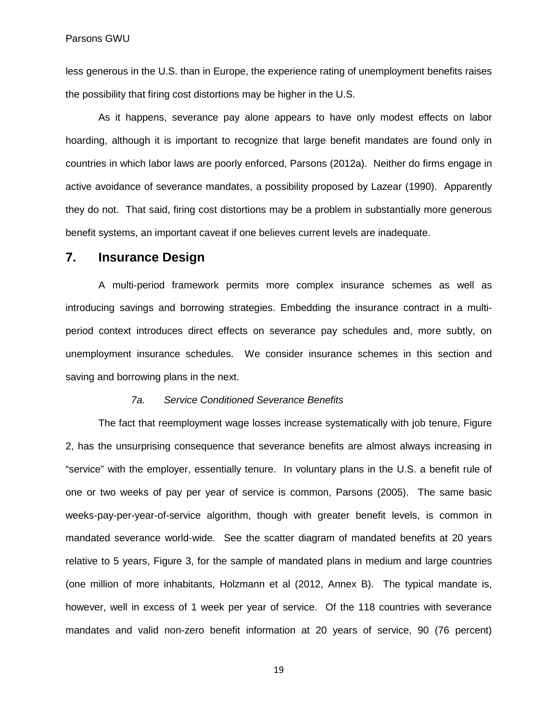less generous in the U.S. than in Europe, the experience rating of unemployment benefits raises the possibility that firing cost distortions may be higher in the U.S.

As it happens, severance pay alone appears to have only modest effects on labor hoarding, although it is important to recognize that large benefit mandates are found only in countries in which labor laws are poorly enforced, Parsons (2012a). Neither do firms engage in active avoidance of severance mandates, a possibility proposed by Lazear (1990). Apparently they do not. That said, firing cost distortions may be a problem in substantially more generous benefit systems, an important caveat if one believes current levels are inadequate.

# **7. Insurance Design**

A multi-period framework permits more complex insurance schemes as well as introducing savings and borrowing strategies. Embedding the insurance contract in a multiperiod context introduces direct effects on severance pay schedules and, more subtly, on unemployment insurance schedules. We consider insurance schemes in this section and saving and borrowing plans in the next.

#### *7a. Service Conditioned Severance Benefits*

The fact that reemployment wage losses increase systematically with job tenure, Figure 2, has the unsurprising consequence that severance benefits are almost always increasing in "service" with the employer, essentially tenure. In voluntary plans in the U.S. a benefit rule of one or two weeks of pay per year of service is common, Parsons (2005). The same basic weeks-pay-per-year-of-service algorithm, though with greater benefit levels, is common in mandated severance world-wide. See the scatter diagram of mandated benefits at 20 years relative to 5 years, Figure 3, for the sample of mandated plans in medium and large countries (one million of more inhabitants, Holzmann et al (2012, Annex B). The typical mandate is, however, well in excess of 1 week per year of service. Of the 118 countries with severance mandates and valid non-zero benefit information at 20 years of service, 90 (76 percent)

19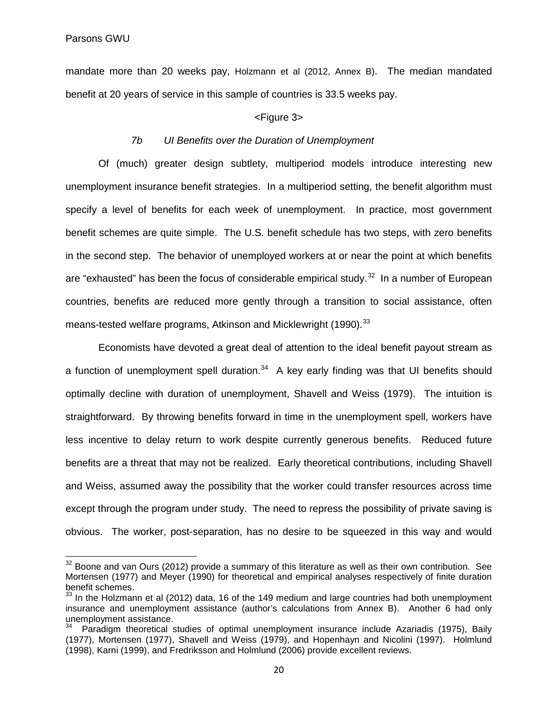mandate more than 20 weeks pay, Holzmann et al (2012, Annex B). The median mandated benefit at 20 years of service in this sample of countries is 33.5 weeks pay.

#### <Figure 3>

#### *7b UI Benefits over the Duration of Unemployment*

Of (much) greater design subtlety, multiperiod models introduce interesting new unemployment insurance benefit strategies. In a multiperiod setting, the benefit algorithm must specify a level of benefits for each week of unemployment. In practice, most government benefit schemes are quite simple. The U.S. benefit schedule has two steps, with zero benefits in the second step. The behavior of unemployed workers at or near the point at which benefits are "exhausted" has been the focus of considerable empirical study.<sup>[32](#page-22-0)</sup> In a number of European countries, benefits are reduced more gently through a transition to social assistance, often means-tested welfare programs, Atkinson and Micklewright (1990).<sup>[33](#page-22-1)</sup>

Economists have devoted a great deal of attention to the ideal benefit payout stream as a function of unemployment spell duration.<sup>[34](#page-22-2)</sup> A key early finding was that UI benefits should optimally decline with duration of unemployment, Shavell and Weiss (1979). The intuition is straightforward. By throwing benefits forward in time in the unemployment spell, workers have less incentive to delay return to work despite currently generous benefits. Reduced future benefits are a threat that may not be realized. Early theoretical contributions, including Shavell and Weiss, assumed away the possibility that the worker could transfer resources across time except through the program under study. The need to repress the possibility of private saving is obvious. The worker, post-separation, has no desire to be squeezed in this way and would

<span id="page-22-0"></span> $32$  Boone and van Ours (2012) provide a summary of this literature as well as their own contribution. See Mortensen (1977) and Meyer (1990) for theoretical and empirical analyses respectively of finite duration benefit schemes.

<span id="page-22-1"></span> $33$  In the Holzmann et al (2012) data, 16 of the 149 medium and large countries had both unemployment insurance and unemployment assistance (author's calculations from Annex B). Another 6 had only unemployment assistance.

<span id="page-22-2"></span><sup>&</sup>lt;sup>34</sup> Paradigm theoretical studies of optimal unemployment insurance include Azariadis (1975), Baily (1977), Mortensen (1977), Shavell and Weiss (1979), and Hopenhayn and Nicolini (1997). Holmlund (1998), Karni (1999), and Fredriksson and Holmlund (2006) provide excellent reviews.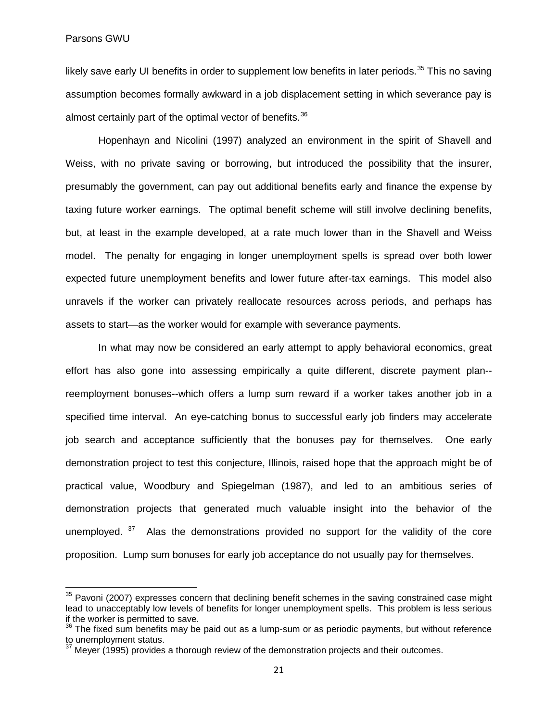likely save early UI benefits in order to supplement low benefits in later periods.<sup>[35](#page-23-0)</sup> This no saving assumption becomes formally awkward in a job displacement setting in which severance pay is almost certainly part of the optimal vector of benefits.<sup>36</sup>

Hopenhayn and Nicolini (1997) analyzed an environment in the spirit of Shavell and Weiss, with no private saving or borrowing, but introduced the possibility that the insurer, presumably the government, can pay out additional benefits early and finance the expense by taxing future worker earnings. The optimal benefit scheme will still involve declining benefits, but, at least in the example developed, at a rate much lower than in the Shavell and Weiss model. The penalty for engaging in longer unemployment spells is spread over both lower expected future unemployment benefits and lower future after-tax earnings. This model also unravels if the worker can privately reallocate resources across periods, and perhaps has assets to start—as the worker would for example with severance payments.

In what may now be considered an early attempt to apply behavioral economics, great effort has also gone into assessing empirically a quite different, discrete payment plan- reemployment bonuses--which offers a lump sum reward if a worker takes another job in a specified time interval. An eye-catching bonus to successful early job finders may accelerate job search and acceptance sufficiently that the bonuses pay for themselves. One early demonstration project to test this conjecture, Illinois, raised hope that the approach might be of practical value, Woodbury and Spiegelman (1987), and led to an ambitious series of demonstration projects that generated much valuable insight into the behavior of the unemployed. <sup>[37](#page-23-2)</sup> Alas the demonstrations provided no support for the validity of the core proposition. Lump sum bonuses for early job acceptance do not usually pay for themselves.

<span id="page-23-0"></span> $35$  Pavoni (2007) expresses concern that declining benefit schemes in the saving constrained case might lead to unacceptably low levels of benefits for longer unemployment spells. This problem is less serious if the worker is permitted to save.

<span id="page-23-1"></span> $36$  The fixed sum benefits may be paid out as a lump-sum or as periodic payments, but without reference to unemployment status.

<span id="page-23-2"></span>Mever (1995) provides a thorough review of the demonstration projects and their outcomes.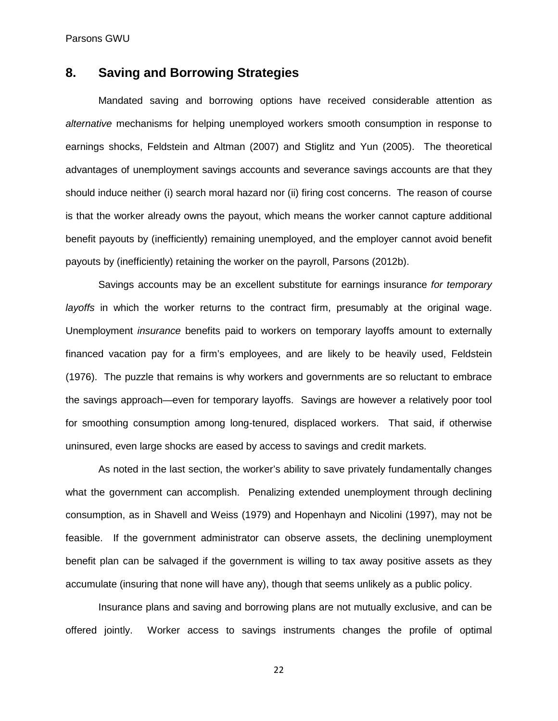Parsons GWU

# **8. Saving and Borrowing Strategies**

Mandated saving and borrowing options have received considerable attention as *alternative* mechanisms for helping unemployed workers smooth consumption in response to earnings shocks, Feldstein and Altman (2007) and Stiglitz and Yun (2005). The theoretical advantages of unemployment savings accounts and severance savings accounts are that they should induce neither (i) search moral hazard nor (ii) firing cost concerns. The reason of course is that the worker already owns the payout, which means the worker cannot capture additional benefit payouts by (inefficiently) remaining unemployed, and the employer cannot avoid benefit payouts by (inefficiently) retaining the worker on the payroll, Parsons (2012b).

Savings accounts may be an excellent substitute for earnings insurance *for temporary layoffs* in which the worker returns to the contract firm, presumably at the original wage. Unemployment *insurance* benefits paid to workers on temporary layoffs amount to externally financed vacation pay for a firm's employees, and are likely to be heavily used, Feldstein (1976). The puzzle that remains is why workers and governments are so reluctant to embrace the savings approach—even for temporary layoffs. Savings are however a relatively poor tool for smoothing consumption among long-tenured, displaced workers. That said, if otherwise uninsured, even large shocks are eased by access to savings and credit markets.

As noted in the last section, the worker's ability to save privately fundamentally changes what the government can accomplish. Penalizing extended unemployment through declining consumption, as in Shavell and Weiss (1979) and Hopenhayn and Nicolini (1997), may not be feasible. If the government administrator can observe assets, the declining unemployment benefit plan can be salvaged if the government is willing to tax away positive assets as they accumulate (insuring that none will have any), though that seems unlikely as a public policy.

Insurance plans and saving and borrowing plans are not mutually exclusive, and can be offered jointly. Worker access to savings instruments changes the profile of optimal

22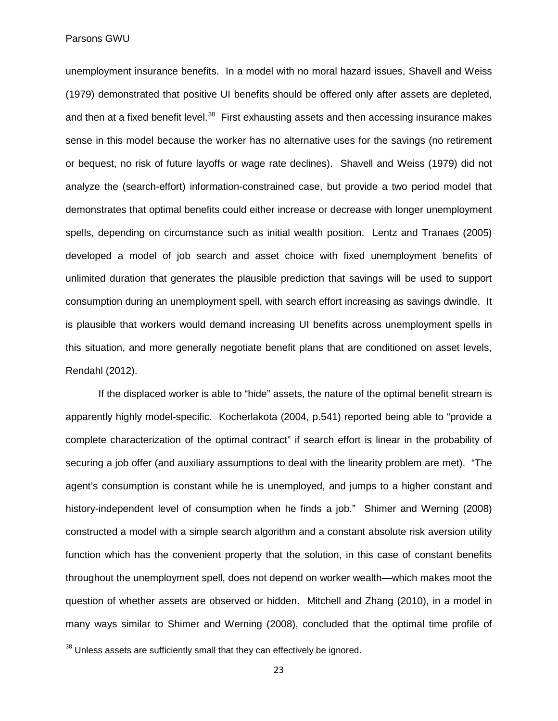Parsons GWU

unemployment insurance benefits. In a model with no moral hazard issues, Shavell and Weiss (1979) demonstrated that positive UI benefits should be offered only after assets are depleted, and then at a fixed benefit level.<sup>[38](#page-25-0)</sup> First exhausting assets and then accessing insurance makes sense in this model because the worker has no alternative uses for the savings (no retirement or bequest, no risk of future layoffs or wage rate declines). Shavell and Weiss (1979) did not analyze the (search-effort) information-constrained case, but provide a two period model that demonstrates that optimal benefits could either increase or decrease with longer unemployment spells, depending on circumstance such as initial wealth position. Lentz and Tranaes (2005) developed a model of job search and asset choice with fixed unemployment benefits of unlimited duration that generates the plausible prediction that savings will be used to support consumption during an unemployment spell, with search effort increasing as savings dwindle. It is plausible that workers would demand increasing UI benefits across unemployment spells in this situation, and more generally negotiate benefit plans that are conditioned on asset levels, Rendahl (2012).

If the displaced worker is able to "hide" assets, the nature of the optimal benefit stream is apparently highly model-specific. Kocherlakota (2004, p.541) reported being able to "provide a complete characterization of the optimal contract" if search effort is linear in the probability of securing a job offer (and auxiliary assumptions to deal with the linearity problem are met). "The agent's consumption is constant while he is unemployed, and jumps to a higher constant and history-independent level of consumption when he finds a job." Shimer and Werning (2008) constructed a model with a simple search algorithm and a constant absolute risk aversion utility function which has the convenient property that the solution, in this case of constant benefits throughout the unemployment spell, does not depend on worker wealth—which makes moot the question of whether assets are observed or hidden. Mitchell and Zhang (2010), in a model in many ways similar to Shimer and Werning (2008), concluded that the optimal time profile of

<span id="page-25-0"></span> $38$  Unless assets are sufficiently small that they can effectively be ignored.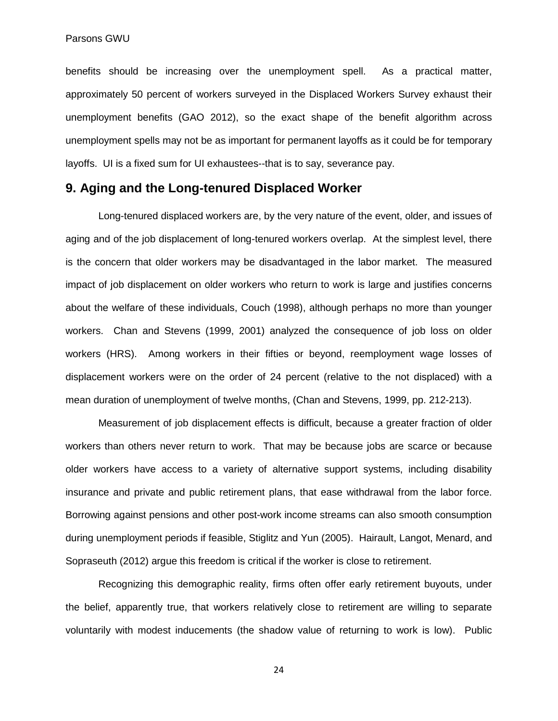benefits should be increasing over the unemployment spell. As a practical matter, approximately 50 percent of workers surveyed in the Displaced Workers Survey exhaust their unemployment benefits (GAO 2012), so the exact shape of the benefit algorithm across unemployment spells may not be as important for permanent layoffs as it could be for temporary layoffs. UI is a fixed sum for UI exhaustees--that is to say, severance pay.

## **9. Aging and the Long-tenured Displaced Worker**

Long-tenured displaced workers are, by the very nature of the event, older, and issues of aging and of the job displacement of long-tenured workers overlap. At the simplest level, there is the concern that older workers may be disadvantaged in the labor market. The measured impact of job displacement on older workers who return to work is large and justifies concerns about the welfare of these individuals, Couch (1998), although perhaps no more than younger workers. Chan and Stevens (1999, 2001) analyzed the consequence of job loss on older workers (HRS). Among workers in their fifties or beyond, reemployment wage losses of displacement workers were on the order of 24 percent (relative to the not displaced) with a mean duration of unemployment of twelve months, (Chan and Stevens, 1999, pp. 212-213).

Measurement of job displacement effects is difficult, because a greater fraction of older workers than others never return to work. That may be because jobs are scarce or because older workers have access to a variety of alternative support systems, including disability insurance and private and public retirement plans, that ease withdrawal from the labor force. Borrowing against pensions and other post-work income streams can also smooth consumption during unemployment periods if feasible, Stiglitz and Yun (2005). Hairault, Langot, Menard, and Sopraseuth (2012) argue this freedom is critical if the worker is close to retirement.

Recognizing this demographic reality, firms often offer early retirement buyouts, under the belief, apparently true, that workers relatively close to retirement are willing to separate voluntarily with modest inducements (the shadow value of returning to work is low). Public

24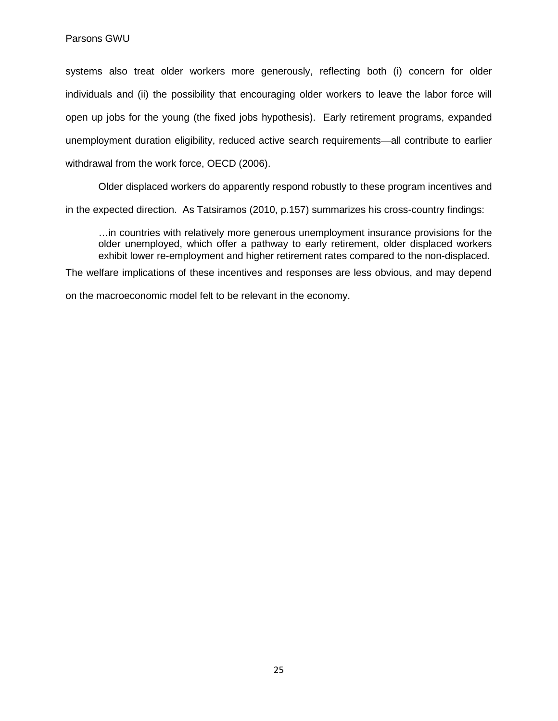systems also treat older workers more generously, reflecting both (i) concern for older individuals and (ii) the possibility that encouraging older workers to leave the labor force will open up jobs for the young (the fixed jobs hypothesis). Early retirement programs, expanded unemployment duration eligibility, reduced active search requirements—all contribute to earlier withdrawal from the work force, OECD (2006).

Older displaced workers do apparently respond robustly to these program incentives and

in the expected direction. As Tatsiramos (2010, p.157) summarizes his cross-country findings:

…in countries with relatively more generous unemployment insurance provisions for the older unemployed, which offer a pathway to early retirement, older displaced workers exhibit lower re-employment and higher retirement rates compared to the non-displaced.

The welfare implications of these incentives and responses are less obvious, and may depend

on the macroeconomic model felt to be relevant in the economy.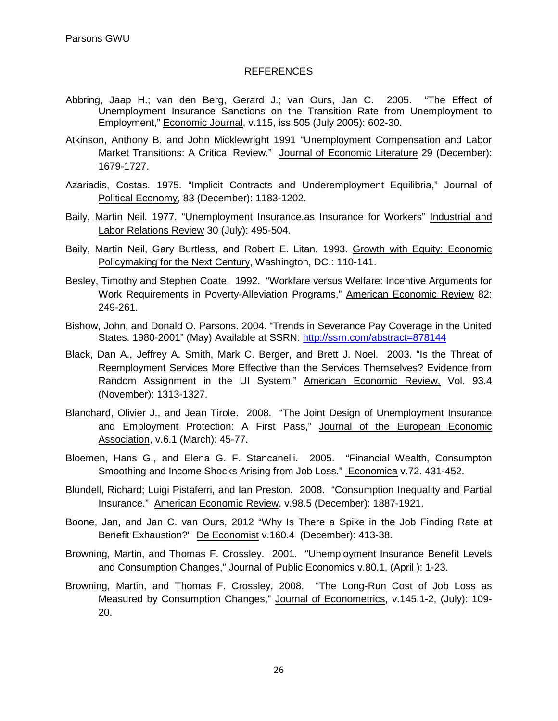#### REFERENCES

- [Abbring, Jaap H.;](http://web14.epnet.com/searchpost.asp?tb=1&_ug=sid+CE3B9D46%2D277C%2D4F80%2DA455%2DCB5207278FF4%40sessionmgr4+dbs+ecn+cp+1+E545&_us=sel+False+frn+1+hd+False+hs+False+or+Date+mdbs+ecn+fh+False+ss+SO+sm+ES+sl+%2D1+dstb+ES+mh+1+ri+KAAACBWB00044513+C75F&_uso=hd+False+tg%5B2+%2D+tg%5B1+%2D+tg%5B0+%2DAU+st%5B2+%2D+st%5B1+%2D+st%5B0+%2Dvan++ours%2C++jan+db%5B0+%2Decn+op%5B2+%2DAnd+op%5B1+%2DAnd+op%5B0+%2D+FAE2&ss=AU%20%22Abbring%2C%20Jaap%20H%2E%22&fscan=Sub&lfr=Lateral&) [van den Berg, Gerard J.;](http://web14.epnet.com/searchpost.asp?tb=1&_ug=sid+CE3B9D46%2D277C%2D4F80%2DA455%2DCB5207278FF4%40sessionmgr4+dbs+ecn+cp+1+E545&_us=sel+False+frn+1+hd+False+hs+False+or+Date+mdbs+ecn+fh+False+ss+SO+sm+ES+sl+%2D1+dstb+ES+mh+1+ri+KAAACBWB00044513+C75F&_uso=hd+False+tg%5B2+%2D+tg%5B1+%2D+tg%5B0+%2DAU+st%5B2+%2D+st%5B1+%2D+st%5B0+%2Dvan++ours%2C++jan+db%5B0+%2Decn+op%5B2+%2DAnd+op%5B1+%2DAnd+op%5B0+%2D+FAE2&ss=AU%20%22van%20den%20Berg%2C%20Gerard%20J%2E%22&fscan=Sub&lfr=Lateral&) [van Ours, Jan C.](http://web14.epnet.com/searchpost.asp?tb=1&_ug=sid+CE3B9D46%2D277C%2D4F80%2DA455%2DCB5207278FF4%40sessionmgr4+dbs+ecn+cp+1+E545&_us=sel+False+frn+1+hd+False+hs+False+or+Date+mdbs+ecn+fh+False+ss+SO+sm+ES+sl+%2D1+dstb+ES+mh+1+ri+KAAACBWB00044513+C75F&_uso=hd+False+tg%5B2+%2D+tg%5B1+%2D+tg%5B0+%2DAU+st%5B2+%2D+st%5B1+%2D+st%5B0+%2Dvan++ours%2C++jan+db%5B0+%2Decn+op%5B2+%2DAnd+op%5B1+%2DAnd+op%5B0+%2D+FAE2&ss=AU%20%22van%20Ours%2C%20Jan%20C%2E%22&fscan=Sub&lfr=Lateral&) 2005. "The Effect of Unemployment Insurance Sanctions on the Transition Rate from Unemployment to Employment," [Economic Journal,](http://web14.epnet.com/searchpost.asp?tb=1&_ug=sid+CE3B9D46%2D277C%2D4F80%2DA455%2DCB5207278FF4%40sessionmgr4+dbs+ecn+cp+1+E545&_us=sel+False+frn+1+hd+False+hs+False+or+Date+mdbs+ecn+fh+False+ss+SO+sm+ES+sl+%2D1+dstb+ES+mh+1+ri+KAAACBWB00044513+C75F&_uso=hd+False+tg%5B2+%2D+tg%5B1+%2D+tg%5B0+%2DAU+st%5B2+%2D+st%5B1+%2D+st%5B0+%2Dvan++ours%2C++jan+db%5B0+%2Decn+op%5B2+%2DAnd+op%5B1+%2DAnd+op%5B0+%2D+FAE2&ss=JN%20%22Economic%20Journal%22&fscan=Sub&lfr=Lateral&) v.115, iss.505 (July 2005): 602-30.
- Atkinson, Anthony B. and John Micklewright 1991 "Unemployment Compensation and Labor Market Transitions: A Critical Review." Journal of Economic Literature 29 (December): 1679-1727.
- Azariadis, Costas. 1975. "Implicit Contracts and Underemployment Equilibria," Journal of Political Economy, 83 (December): 1183-1202.
- Baily, Martin Neil. 1977. "Unemployment Insurance.as Insurance for Workers" Industrial and Labor Relations Review 30 (July): 495-504.
- Baily, Martin Neil, Gary Burtless, and Robert E. Litan. 1993. Growth with Equity: Economic Policymaking for the Next Century, Washington, DC.: 110-141.
- Besley, Timothy and Stephen Coate. 1992. "Workfare versus Welfare: Incentive Arguments for Work Requirements in Poverty-Alleviation Programs," American Economic Review 82: 249-261.
- Bishow, John, and Donald O. Parsons. 2004. "Trends in Severance Pay Coverage in the United States. 1980-2001" (May) Available at SSRN:<http://ssrn.com/abstract=878144>
- Black, Dan A., Jeffrey A. Smith, Mark C. Berger, and Brett J. Noel. 2003. "Is the Threat of Reemployment Services More Effective than the Services Themselves? Evidence from Random Assignment in the UI System," American Economic Review, Vol. 93.4 (November): 1313-1327.
- Blanchard, Olivier J., and Jean Tirole. 2008. "The Joint Design of Unemployment Insurance and Employment Protection: A First Pass," Journal of the European Economic Association, v.6.1 (March): 45-77.
- Bloemen, Hans G., and Elena G. F. Stancanelli. 2005. "Financial Wealth, Consumpton Smoothing and Income Shocks Arising from Job Loss." Economica v.72. 431-452.
- Blundell, Richard; Luigi Pistaferri, and Ian Preston. 2008. "Consumption Inequality and Partial Insurance." American Economic Review, v.98.5 (December): 1887-1921.
- Boone, Jan, and Jan C. van Ours, 2012 "Why Is There a Spike in the Job Finding Rate at Benefit Exhaustion?" De Economist v.160.4 (December): 413-38.
- Browning, Martin, and Thomas F. Crossley. 2001. "Unemployment Insurance Benefit Levels and Consumption Changes," Journal of Public Economics v.80.1, (April ): 1-23.
- Browning, Martin, and Thomas F. Crossley, 2008. "The Long-Run Cost of Job Loss as Measured by Consumption Changes," Journal of Econometrics, v.145.1-2, (July): 109-20.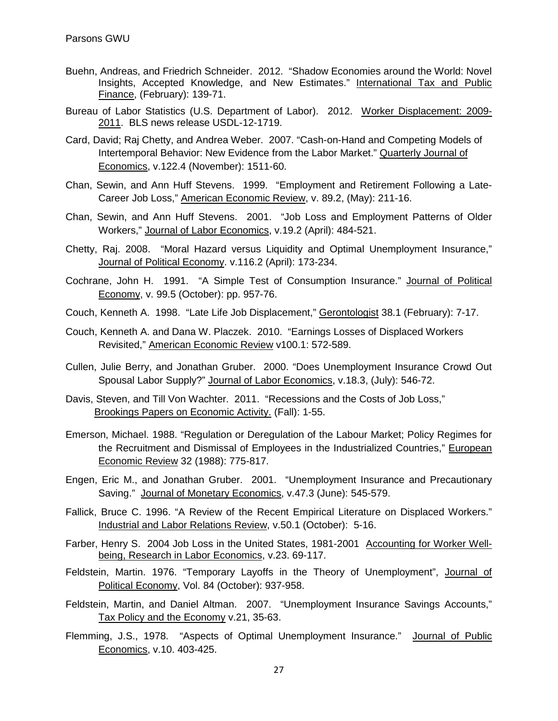- Buehn, Andreas, and Friedrich Schneider. 2012. "Shadow Economies around the World: Novel Insights, Accepted Knowledge, and New Estimates." International Tax and Public Finance, (February): 139-71.
- Bureau of Labor Statistics (U.S. Department of Labor). 2012. Worker Displacement: 2009- 2011. BLS news release USDL-12-1719.
- Card, David; Raj Chetty, and Andrea Weber. 2007. "Cash-on-Hand and Competing Models of Intertemporal Behavior: New Evidence from the Labor Market." Quarterly Journal of Economics, v.122.4 (November): 1511-60.
- Chan, Sewin, and Ann Huff Stevens. 1999. "Employment and Retirement Following a Late-Career Job Loss," American Economic Review, v. 89.2, (May): 211-16.
- Chan, Sewin, and Ann Huff Stevens. 2001. "Job Loss and Employment Patterns of Older Workers," Journal of Labor Economics, v.19.2 (April): 484-521.
- Chetty, Raj. 2008. "Moral Hazard versus Liquidity and Optimal Unemployment Insurance," Journal of Political Economy. v.116.2 (April): 173-234.

Cochrane, John H. 1991. "A Simple Test of Consumption Insurance." Journal of Political Economy, v. 99.5 (October): pp. 957-76.

- Couch, Kenneth A. 1998. "Late Life Job Displacement," Gerontologist 38.1 (February): 7-17.
- Couch, Kenneth A. and Dana W. Placzek. 2010. "Earnings Losses of Displaced Workers Revisited," American Economic Review v100.1: 572-589.
- Cullen, Julie Berry, and Jonathan Gruber. 2000. "Does Unemployment Insurance Crowd Out Spousal Labor Supply?" Journal of Labor Economics, v.18.3, (July): 546-72.
- Davis, Steven, and Till Von Wachter. 2011. "Recessions and the Costs of Job Loss," Brookings Papers on Economic Activity. (Fall): 1-55.
- Emerson, Michael. 1988. "Regulation or Deregulation of the Labour Market; Policy Regimes for the Recruitment and Dismissal of Employees in the Industrialized Countries," European Economic Review 32 (1988): 775-817.
- Engen, Eric M., and Jonathan Gruber. 2001. "Unemployment Insurance and Precautionary Saving." Journal of Monetary Economics, v.47.3 (June): 545-579.
- Fallick, Bruce C. 1996. "A Review of the Recent Empirical Literature on Displaced Workers." Industrial and Labor Relations Review, v.50.1 (October): 5-16.
- Farber, Henry S. 2004 Job Loss in the United States, 1981-2001 Accounting for Worker Wellbeing, Research in Labor Economics, v.23. 69-117.
- Feldstein, Martin. 1976. "Temporary Layoffs in the Theory of Unemployment", Journal of Political Economy, Vol. 84 (October): 937-958.
- Feldstein, Martin, and Daniel Altman. 2007. "Unemployment Insurance Savings Accounts," Tax Policy and the Economy v.21, 35-63.
- Flemming, J.S., 1978. "Aspects of Optimal Unemployment Insurance." Journal of Public Economics, v.10. 403-425.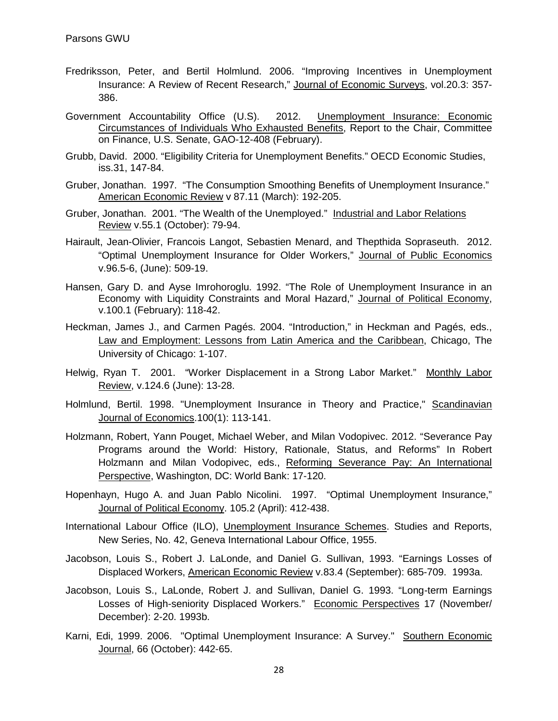- Fredriksson, Peter, and Bertil Holmlund. 2006. "Improving Incentives in Unemployment Insurance: A Review of Recent Research," Journal of Economic Surveys, vol.20.3: 357- 386.
- Government Accountability Office (U.S). 2012. Unemployment Insurance: Economic Circumstances of Individuals Who Exhausted Benefits, Report to the Chair, Committee on Finance, U.S. Senate, GAO-12-408 (February).
- Grubb, David. 2000. "Eligibility Criteria for Unemployment Benefits." OECD Economic Studies, iss.31, 147-84.
- Gruber, Jonathan. 1997. "The Consumption Smoothing Benefits of Unemployment Insurance." American Economic Review v 87.11 (March): 192-205.
- Gruber, Jonathan. 2001. "The Wealth of the Unemployed." Industrial and Labor Relations Review v.55.1 (October): 79-94.
- Hairault, Jean-Olivier, Francois Langot, Sebastien Menard, and Thepthida Sopraseuth. 2012. "Optimal Unemployment Insurance for Older Workers," Journal of Public Economics v.96.5-6, (June): 509-19.
- Hansen, Gary D. and Ayse Imrohoroglu. 1992. "The Role of Unemployment Insurance in an Economy with Liquidity Constraints and Moral Hazard," Journal of Political Economy, v.100.1 (February): 118-42.
- Heckman, James J., and Carmen Pagés. 2004. "Introduction," in Heckman and Pagés, eds., Law and Employment: Lessons from Latin America and the Caribbean, Chicago, The University of Chicago: 1-107.
- Helwig, Ryan T. 2001. "Worker Displacement in a Strong Labor Market." Monthly Labor Review, v.124.6 (June): 13-28.
- Holmlund, Bertil. 1998. "Unemployment Insurance in Theory and Practice," Scandinavian Journal of Economics.100(1): 113-141.
- Holzmann, Robert, Yann Pouget, Michael Weber, and Milan Vodopivec. 2012. "Severance Pay Programs around the World: History, Rationale, Status, and Reforms" In Robert Holzmann and Milan Vodopivec, eds., Reforming Severance Pay: An International Perspective, Washington, DC: World Bank: 17-120.
- Hopenhayn, Hugo A. and Juan Pablo Nicolini. 1997. "Optimal Unemployment Insurance," Journal of Political Economy. 105.2 (April): 412-438.
- International Labour Office (ILO), Unemployment Insurance Schemes. Studies and Reports, New Series, No. 42, Geneva International Labour Office, 1955.
- Jacobson, Louis S., Robert J. LaLonde, and Daniel G. Sullivan, 1993. "Earnings Losses of Displaced Workers, American Economic Review v.83.4 (September): 685-709. 1993a.
- Jacobson, Louis S., LaLonde, Robert J. and Sullivan, Daniel G. 1993. "Long-term Earnings Losses of High-seniority Displaced Workers." Economic Perspectives 17 (November/ December): 2-20. 1993b.
- Karni, Edi, 1999. 2006. "Optimal Unemployment Insurance: A Survey." Southern Economic Journal, 66 (October): 442-65.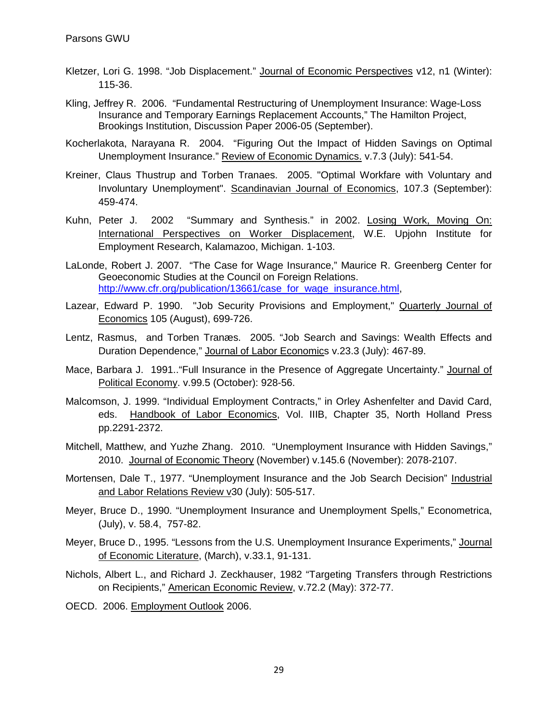- Kletzer, Lori G. 1998. "Job Displacement." Journal of Economic Perspectives v12, n1 (Winter): 115-36.
- Kling, Jeffrey R. 2006. "Fundamental Restructuring of Unemployment Insurance: Wage-Loss Insurance and Temporary Earnings Replacement Accounts," The Hamilton Project, Brookings Institution, Discussion Paper 2006-05 (September).
- Kocherlakota, Narayana R. 2004. "Figuring Out the Impact of Hidden Savings on Optimal Unemployment Insurance." Review of Economic Dynamics. v.7.3 (July): 541-54.
- Kreiner, Claus Thustrup and Torben Tranaes. 2005. "Optimal Workfare with Voluntary and Involuntary Unemployment". Scandinavian Journal of Economics, 107.3 (September): 459-474.
- Kuhn, Peter J. 2002 "Summary and Synthesis." in 2002. Losing Work, Moving On: International Perspectives on Worker Displacement, W.E. Upjohn Institute for Employment Research, Kalamazoo, Michigan. 1-103.
- LaLonde, Robert J. 2007. "The Case for Wage Insurance," Maurice R. Greenberg Center for Geoeconomic Studies at the Council on Foreign Relations. [http://www.cfr.org/publication/13661/case\\_for\\_wage\\_insurance.html,](http://www.cfr.org/publication/13661/case_for_wage_insurance.html))
- Lazear, Edward P. 1990. "Job Security Provisions and Employment," Quarterly Journal of Economics 105 (August), 699-726.
- Lentz, Rasmus, and Torben Tranæs. 2005. "Job Search and Savings: Wealth Effects and Duration Dependence," Journal of Labor Economics v.23.3 (July): 467-89.
- Mace, Barbara J. 1991.."Full Insurance in the Presence of Aggregate Uncertainty." Journal of Political Economy. v.99.5 (October): 928-56.
- Malcomson, J. 1999. "Individual Employment Contracts," in Orley Ashenfelter and David Card, eds. Handbook of Labor Economics, Vol. IIIB, Chapter 35, North Holland Press pp.2291-2372.
- Mitchell, Matthew, and Yuzhe Zhang. 2010. "Unemployment Insurance with Hidden Savings," 2010. Journal of Economic Theory (November) v.145.6 (November): 2078-2107.
- Mortensen, Dale T., 1977. "Unemployment Insurance and the Job Search Decision" Industrial and Labor Relations Review v30 (July): 505-517.
- Meyer, Bruce D., 1990. "Unemployment Insurance and Unemployment Spells," Econometrica, (July), v. 58.4, 757-82.
- Meyer, Bruce D., 1995. "Lessons from the U.S. Unemployment Insurance Experiments," Journal of Economic Literature, (March), v.33.1, 91-131.
- Nichols, Albert L., and Richard J. Zeckhauser, 1982 "Targeting Transfers through Restrictions on Recipients," American Economic Review, v.72.2 (May): 372-77.
- OECD. 2006. Employment Outlook 2006.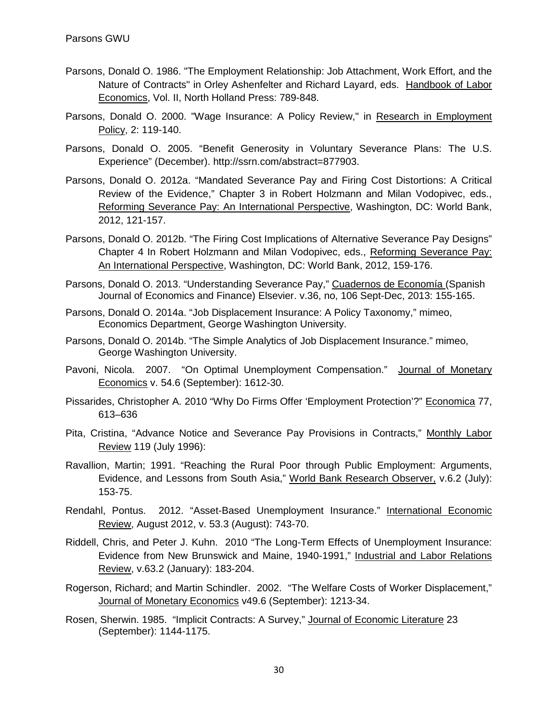- Parsons, Donald O. 1986. "The Employment Relationship: Job Attachment, Work Effort, and the Nature of Contracts" in Orley Ashenfelter and Richard Layard, eds. Handbook of Labor Economics, Vol. II, North Holland Press: 789-848.
- Parsons, Donald O. 2000. "Wage Insurance: A Policy Review," in Research in Employment Policy, 2: 119-140.
- Parsons, Donald O. 2005. "Benefit Generosity in Voluntary Severance Plans: The U.S. Experience" (December). http://ssrn.com/abstract=877903.
- Parsons, Donald O. 2012a. "Mandated Severance Pay and Firing Cost Distortions: A Critical Review of the Evidence," Chapter 3 in Robert Holzmann and Milan Vodopivec, eds., Reforming Severance Pay: An International Perspective, Washington, DC: World Bank, 2012, 121-157.
- Parsons, Donald O. 2012b. "The Firing Cost Implications of Alternative Severance Pay Designs" Chapter 4 In Robert Holzmann and Milan Vodopivec, eds., Reforming Severance Pay: An International Perspective, Washington, DC: World Bank, 2012, 159-176.
- Parsons, Donald O. 2013. "Understanding Severance Pay," Cuadernos de Economía (Spanish Journal of Economics and Finance) Elsevier. v.36, no, 106 Sept-Dec, 2013: 155-165.
- Parsons, Donald O. 2014a. "Job Displacement Insurance: A Policy Taxonomy," mimeo, Economics Department, George Washington University.
- Parsons, Donald O. 2014b. "The Simple Analytics of Job Displacement Insurance." mimeo, George Washington University.
- Pavoni, Nicola. 2007. "On Optimal Unemployment Compensation." Journal of Monetary Economics v. 54.6 (September): 1612-30.
- Pissarides, Christopher A. 2010 "Why Do Firms Offer 'Employment Protection'?" Economica 77, 613–636
- Pita, Cristina, "Advance Notice and Severance Pay Provisions in Contracts," Monthly Labor Review 119 (July 1996):
- Ravallion, Martin; 1991. "Reaching the Rural Poor through Public Employment: Arguments, Evidence, and Lessons from South Asia," World Bank Research Observer, v.6.2 (July): 153-75.
- Rendahl, Pontus. 2012. "Asset-Based Unemployment Insurance." International Economic Review, August 2012, v. 53.3 (August): 743-70.
- Riddell, Chris, and Peter J. Kuhn. 2010 "The Long-Term Effects of Unemployment Insurance: Evidence from New Brunswick and Maine, 1940-1991," Industrial and Labor Relations Review, v.63.2 (January): 183-204.
- Rogerson, Richard; and Martin Schindler. 2002. "The Welfare Costs of Worker Displacement," Journal of Monetary Economics v49.6 (September): 1213-34.
- Rosen, Sherwin. 1985. "Implicit Contracts: A Survey," Journal of Economic Literature 23 (September): 1144-1175.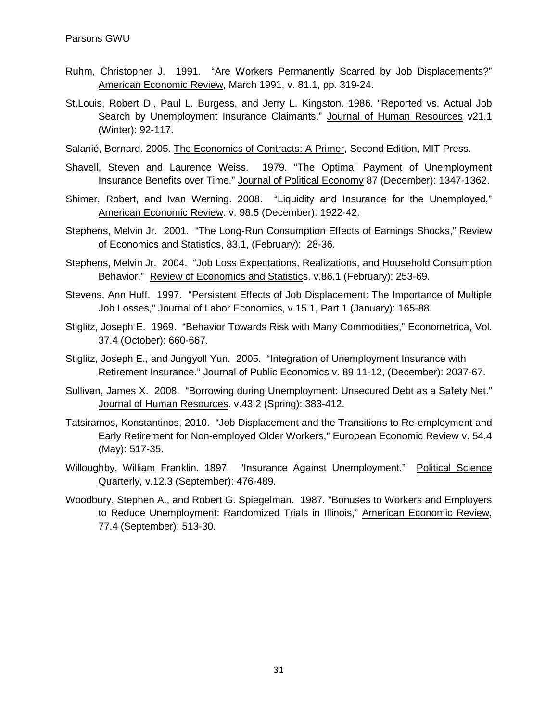- Ruhm, Christopher J. 1991. "Are Workers Permanently Scarred by Job Displacements?" American Economic Review, March 1991, v. 81.1, pp. 319-24.
- St.Louis, Robert D., Paul L. Burgess, and Jerry L. Kingston. 1986. "Reported vs. Actual Job Search by Unemployment Insurance Claimants." Journal of Human Resources v21.1 (Winter): 92-117.
- Salanié, Bernard. 2005. The Economics of Contracts: A Primer, Second Edition, MIT Press.
- Shavell, Steven and Laurence Weiss. 1979. "The Optimal Payment of Unemployment Insurance Benefits over Time." Journal of Political Economy 87 (December): 1347-1362.
- Shimer, Robert, and Ivan Werning. 2008. "Liquidity and Insurance for the Unemployed," American Economic Review. v. 98.5 (December): 1922-42.
- Stephens, Melvin Jr. 2001. "The Long-Run Consumption Effects of Earnings Shocks," Review of Economics and Statistics, 83.1, (February): 28-36.
- Stephens, Melvin Jr. 2004. "Job Loss Expectations, Realizations, and Household Consumption Behavior." Review of Economics and Statistics. v.86.1 (February): 253-69.
- Stevens, Ann Huff. 1997. "Persistent Effects of Job Displacement: The Importance of Multiple Job Losses," Journal of Labor Economics, v.15.1, Part 1 (January): 165-88.
- Stiglitz, Joseph E. 1969. "Behavior Towards Risk with Many Commodities," Econometrica, Vol. 37.4 (October): 660-667.
- Stiglitz, Joseph E., and Jungyoll Yun. 2005. "Integration of Unemployment Insurance with Retirement Insurance." Journal of Public Economics v. 89.11-12, (December): 2037-67.
- Sullivan, James X. 2008. "Borrowing during Unemployment: Unsecured Debt as a Safety Net." Journal of Human Resources. v.43.2 (Spring): 383-412.
- Tatsiramos, Konstantinos, 2010. "Job Displacement and the Transitions to Re-employment and Early Retirement for Non-employed Older Workers," European Economic Review v. 54.4 (May): 517-35.
- Willoughby, William Franklin. 1897. "Insurance Against Unemployment." Political Science Quarterly, v.12.3 (September): 476-489.
- Woodbury, Stephen A., and Robert G. Spiegelman. 1987. "Bonuses to Workers and Employers to Reduce Unemployment: Randomized Trials in Illinois," American Economic Review, 77.4 (September): 513-30.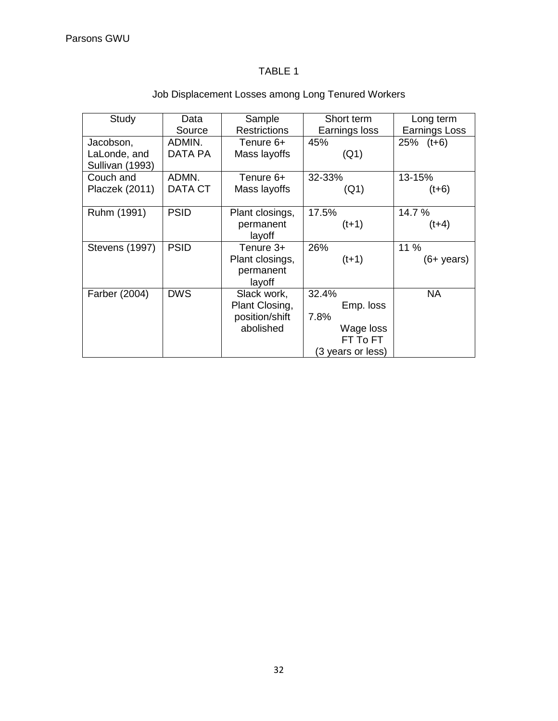# TABLE 1

| Study                 | Data        | Sample              | Short term        | Long term            |
|-----------------------|-------------|---------------------|-------------------|----------------------|
|                       | Source      | <b>Restrictions</b> | Earnings loss     | Earnings Loss        |
| Jacobson,             | ADMIN.      | Tenure 6+           | 45%               | $25\%$ (t+6)         |
| LaLonde, and          | DATA PA     | Mass layoffs        | (Q1)              |                      |
| Sullivan (1993)       |             |                     |                   |                      |
| Couch and             | ADMN.       | Tenure 6+           | 32-33%            | 13-15%               |
| Placzek (2011)        | DATA CT     | Mass layoffs        | (Q1)              | $(t+6)$              |
|                       |             |                     |                   |                      |
| Ruhm (1991)           | <b>PSID</b> | Plant closings,     | 17.5%             | 14.7%                |
|                       |             | permanent           | $(t+1)$           | $(t+4)$              |
|                       |             | layoff              |                   |                      |
| <b>Stevens (1997)</b> | <b>PSID</b> | Tenure 3+           | 26%               | 11 %                 |
|                       |             | Plant closings,     | $(t+1)$           | $(6+ \text{ years})$ |
|                       |             | permanent           |                   |                      |
|                       |             | layoff              |                   |                      |
| Farber (2004)         | <b>DWS</b>  | Slack work,         | 32.4%             | <b>NA</b>            |
|                       |             | Plant Closing,      | Emp. loss         |                      |
|                       |             | position/shift      | 7.8%              |                      |
|                       |             | abolished           | Wage loss         |                      |
|                       |             |                     | FT To FT          |                      |
|                       |             |                     | (3 years or less) |                      |

# Job Displacement Losses among Long Tenured Workers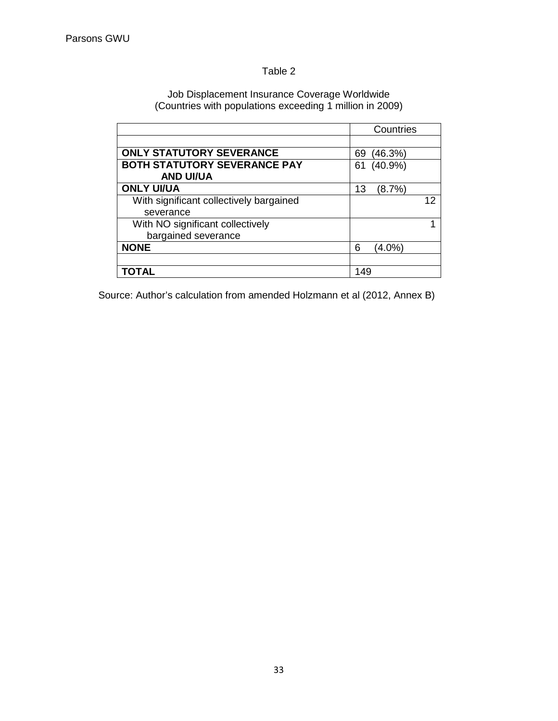# Table 2

#### Job Displacement Insurance Coverage Worldwide (Countries with populations exceeding 1 million in 2009)

|                                         | Countries        |
|-----------------------------------------|------------------|
|                                         |                  |
| <b>ONLY STATUTORY SEVERANCE</b>         | (46.3%)<br>69    |
| <b>BOTH STATUTORY SEVERANCE PAY</b>     | $(40.9\%)$<br>61 |
| <b>AND UI/UA</b>                        |                  |
| <b>ONLY UI/UA</b>                       | (8.7%)<br>13     |
| With significant collectively bargained | 12               |
| severance                               |                  |
| With NO significant collectively        |                  |
| bargained severance                     |                  |
| <b>NONE</b>                             | (4.0%)<br>6      |
|                                         |                  |
| ΤΟΤΑL                                   | 149              |

Source: Author's calculation from amended Holzmann et al (2012, Annex B)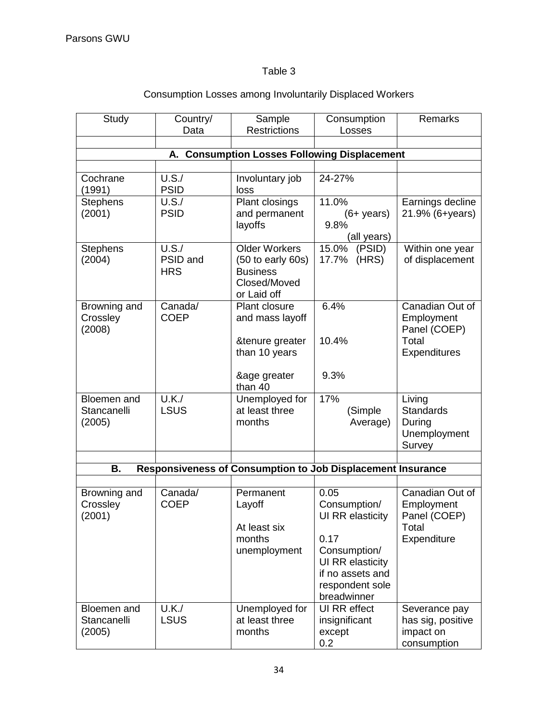# Table 3

| Study                                                  | Country/<br>Data                | Sample<br><b>Restrictions</b>                                                                   | Consumption<br>Losses                                                                                    | Remarks                                                                |  |  |  |
|--------------------------------------------------------|---------------------------------|-------------------------------------------------------------------------------------------------|----------------------------------------------------------------------------------------------------------|------------------------------------------------------------------------|--|--|--|
|                                                        |                                 |                                                                                                 |                                                                                                          |                                                                        |  |  |  |
| <b>Consumption Losses Following Displacement</b><br>А. |                                 |                                                                                                 |                                                                                                          |                                                                        |  |  |  |
|                                                        |                                 |                                                                                                 |                                                                                                          |                                                                        |  |  |  |
| Cochrane<br>(1991)                                     | U.S./<br><b>PSID</b>            | Involuntary job<br>loss                                                                         | 24-27%                                                                                                   |                                                                        |  |  |  |
| <b>Stephens</b><br>(2001)                              | U.S./<br><b>PSID</b>            | Plant closings<br>and permanent<br>layoffs                                                      | 11.0%<br>$(6+ years)$<br>9.8%<br>(all years)                                                             | Earnings decline<br>21.9% (6+years)                                    |  |  |  |
| <b>Stephens</b><br>(2004)                              | U.S./<br>PSID and<br><b>HRS</b> | <b>Older Workers</b><br>$(50$ to early $60s)$<br><b>Business</b><br>Closed/Moved<br>or Laid off | 15.0% (PSID)<br>17.7% (HRS)                                                                              | Within one year<br>of displacement                                     |  |  |  |
| Browning and<br>Crossley<br>(2008)                     | Canada/<br><b>COEP</b>          | Plant closure<br>and mass layoff<br>&tenure greater<br>than 10 years                            | 6.4%<br>10.4%                                                                                            | Canadian Out of<br>Employment<br>Panel (COEP)<br>Total<br>Expenditures |  |  |  |
|                                                        |                                 | &age greater<br>than 40                                                                         | 9.3%                                                                                                     |                                                                        |  |  |  |
| Bloemen and<br>Stancanelli<br>(2005)                   | U.K./<br><b>LSUS</b>            | Unemployed for<br>at least three<br>months                                                      | 17%<br>(Simple<br>Average)                                                                               | Living<br><b>Standards</b><br>During<br>Unemployment<br>Survey         |  |  |  |
|                                                        |                                 |                                                                                                 |                                                                                                          |                                                                        |  |  |  |
| В.                                                     |                                 |                                                                                                 | Responsiveness of Consumption to Job Displacement Insurance                                              |                                                                        |  |  |  |
| Browning and<br>Crossley<br>(2001)                     | Canada/<br><b>COEP</b>          | Permanent<br>Layoff<br>At least six<br>months<br>unemployment                                   | 0.05<br>Consumption/<br>UI RR elasticity<br>0.17<br>Consumption/<br>UI RR elasticity<br>if no assets and | Canadian Out of<br>Employment<br>Panel (COEP)<br>Total<br>Expenditure  |  |  |  |
| Bloemen and<br>Stancanelli<br>(2005)                   | U.K./<br><b>LSUS</b>            | Unemployed for<br>at least three<br>months                                                      | respondent sole<br>breadwinner<br>UI RR effect<br>insignificant<br>except<br>0.2                         | Severance pay<br>has sig, positive<br>impact on<br>consumption         |  |  |  |

# Consumption Losses among Involuntarily Displaced Workers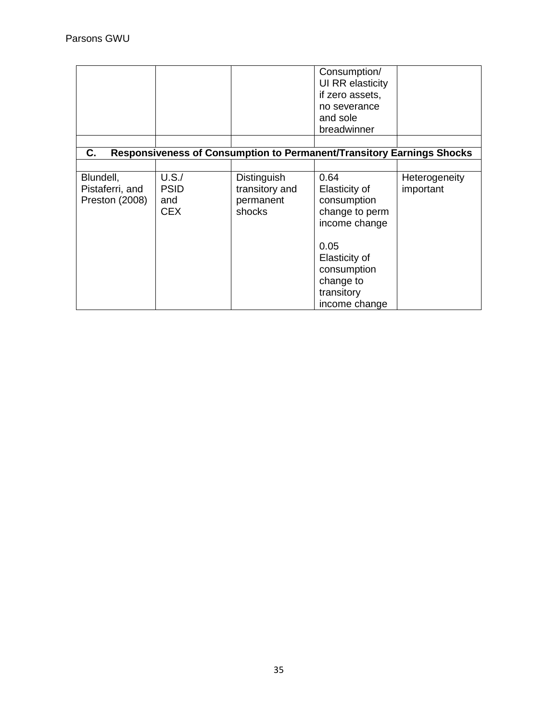|                                                |                                                                                    |                                                      | Consumption/<br>UI RR elasticity<br>if zero assets,<br>no severance<br>and sole<br>breadwinner |                            |  |  |
|------------------------------------------------|------------------------------------------------------------------------------------|------------------------------------------------------|------------------------------------------------------------------------------------------------|----------------------------|--|--|
|                                                |                                                                                    |                                                      |                                                                                                |                            |  |  |
|                                                | C.<br><b>Responsiveness of Consumption to Permanent/Transitory Earnings Shocks</b> |                                                      |                                                                                                |                            |  |  |
| Blundell,<br>Pistaferri, and<br>Preston (2008) | U.S./<br><b>PSID</b><br>and<br><b>CEX</b>                                          | Distinguish<br>transitory and<br>permanent<br>shocks | 0.64<br>Elasticity of<br>consumption<br>change to perm<br>income change                        | Heterogeneity<br>important |  |  |
|                                                |                                                                                    |                                                      | 0.05<br>Elasticity of<br>consumption<br>change to<br>transitory<br>income change               |                            |  |  |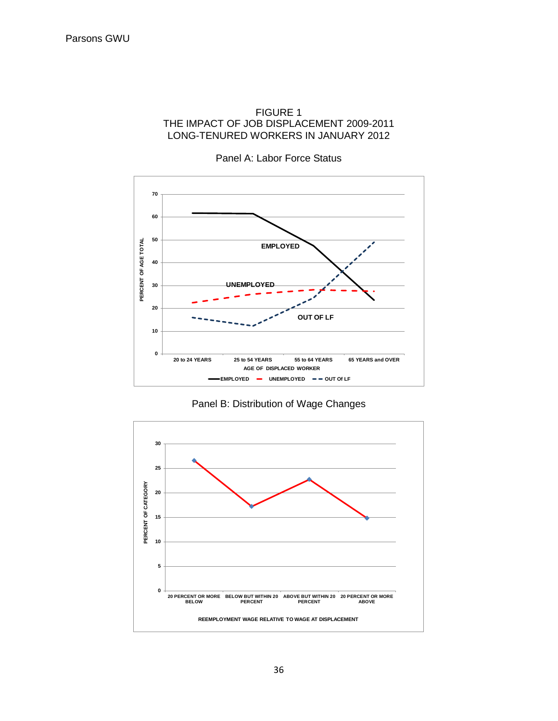#### FIGURE 1 THE IMPACT OF JOB DISPLACEMENT 2009-2011 LONG-TENURED WORKERS IN JANUARY 2012

Panel A: Labor Force Status



Panel B: Distribution of Wage Changes

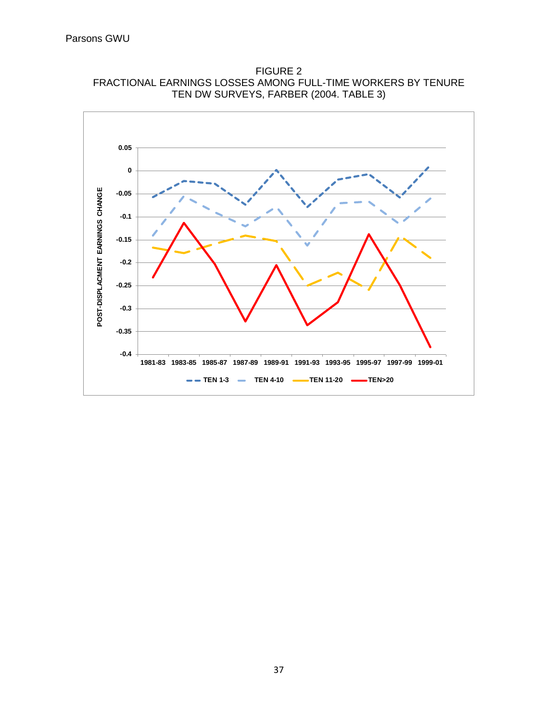

FIGURE 2 FRACTIONAL EARNINGS LOSSES AMONG FULL-TIME WORKERS BY TENURE TEN DW SURVEYS, FARBER (2004. TABLE 3)